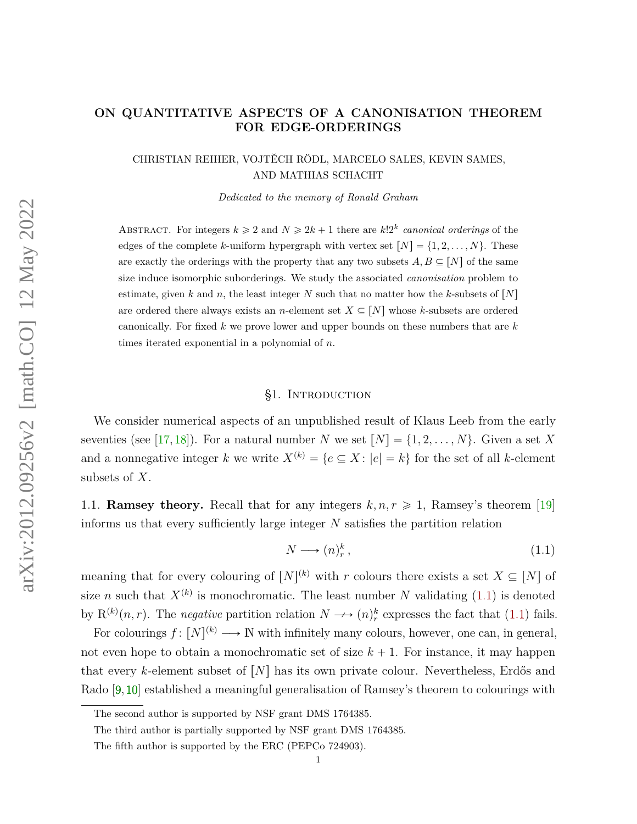# **ON QUANTITATIVE ASPECTS OF A CANONISATION THEOREM FOR EDGE-ORDERINGS**

CHRISTIAN REIHER, VOJTĚCH RÖDL, MARCELO SALES, KEVIN SAMES, AND MATHIAS SCHACHT

*Dedicated to the memory of Ronald Graham*

ABSTRACT. For integers  $k \geq 2$  and  $N \geq 2k + 1$  there are  $k!2^k$  *canonical orderings* of the edges of the complete *k*-uniform hypergraph with vertex set  $[N] = \{1, 2, ..., N\}$ . These are exactly the orderings with the property that any two subsets  $A, B \subseteq [N]$  of the same size induce isomorphic suborderings. We study the associated *canonisation* problem to estimate, given *k* and *n*, the least integer *N* such that no matter how the *k*-subsets of  $[N]$ are ordered there always exists an *n*-element set  $X \subseteq [N]$  whose *k*-subsets are ordered canonically. For fixed *k* we prove lower and upper bounds on these numbers that are *k* times iterated exponential in a polynomial of *n*.

### §1. Introduction

<span id="page-0-1"></span>We consider numerical aspects of an unpublished result of Klaus Leeb from the early seventies (see [\[17,](#page-35-0) [18\]](#page-35-1)). For a natural number *N* we set  $[N] = \{1, 2, ..., N\}$ . Given a set *X* and a nonnegative integer *k* we write  $X^{(k)} = \{e \subseteq X : |e| = k\}$  for the set of all *k*-element subsets of *X*.

<span id="page-0-2"></span>1.1. **Ramsey theory.** Recall that for any integers  $k, n, r \geq 1$ , Ramsey's theorem [\[19\]](#page-35-2) informs us that every sufficiently large integer *N* satisfies the partition relation

<span id="page-0-0"></span>
$$
N \longrightarrow (n)_r^k, \tag{1.1}
$$

meaning that for every colouring of  $[N]^{(k)}$  with *r* colours there exists a set  $X \subseteq [N]$  of size *n* such that  $X^{(k)}$  is monochromatic. The least number *N* validating [\(1.1\)](#page-0-0) is denoted by  $R^{(k)}(n, r)$ . The *negative* partition relation  $N \longrightarrow (n)_r^k$  expresses the fact that [\(1.1\)](#page-0-0) fails.

For colourings  $f: [N]^{(k)} \longrightarrow \mathbb{N}$  with infinitely many colours, however, one can, in general, not even hope to obtain a monochromatic set of size  $k + 1$ . For instance, it may happen that every *k*-element subset of  $[N]$  has its own private colour. Nevertheless, Erdős and Rado [\[9,](#page-34-0)[10\]](#page-34-1) established a meaningful generalisation of Ramsey's theorem to colourings with

The second author is supported by NSF grant DMS 1764385.

The third author is partially supported by NSF grant DMS 1764385.

The fifth author is supported by the ERC (PEPCo 724903).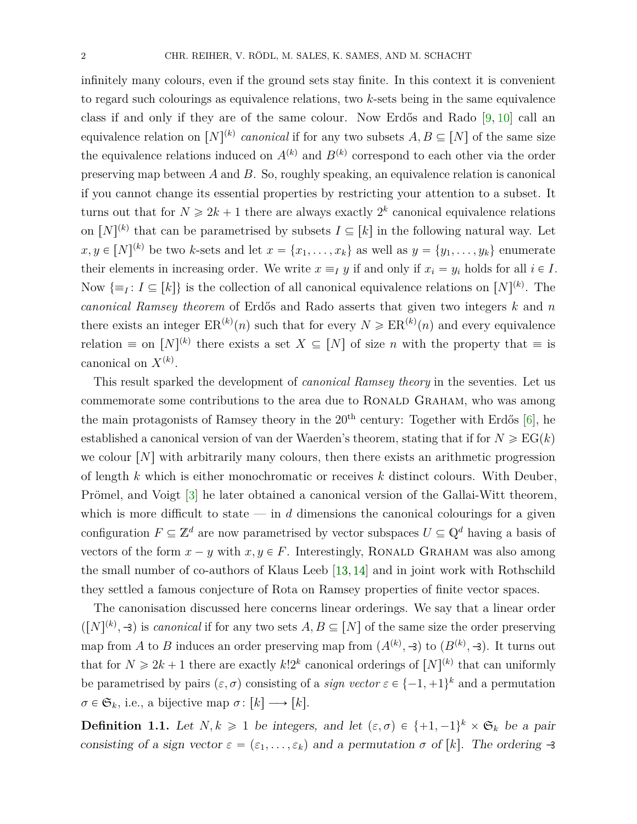infinitely many colours, even if the ground sets stay finite. In this context it is convenient to regard such colourings as equivalence relations, two *k*-sets being in the same equivalence class if and only if they are of the same colour. Now Erdős and Rado [\[9,](#page-34-0) [10\]](#page-34-1) call an equivalence relation on  $[N]^{(k)}$  *canonical* if for any two subsets  $A, B \subseteq [N]$  of the same size the equivalence relations induced on  $A^{(k)}$  and  $B^{(k)}$  correspond to each other via the order preserving map between *A* and *B*. So, roughly speaking, an equivalence relation is canonical if you cannot change its essential properties by restricting your attention to a subset. It turns out that for  $N \ge 2k + 1$  there are always exactly  $2^k$  canonical equivalence relations on  $[N]^{(k)}$  that can be parametrised by subsets  $I \subseteq [k]$  in the following natural way. Let  $x, y \in [N]^{(k)}$  be two *k*-sets and let  $x = \{x_1, \ldots, x_k\}$  as well as  $y = \{y_1, \ldots, y_k\}$  enumerate their elements in increasing order. We write  $x \equiv_I y$  if and only if  $x_i = y_i$  holds for all  $i \in I$ . Now  $\{\equiv_I: I \subseteq [k]\}$  is the collection of all canonical equivalence relations on  $[N]^{(k)}$ . The *canonical Ramsey theorem* of Erdős and Rado asserts that given two integers *k* and *n* there exists an integer  $\text{ER}^{(k)}(n)$  such that for every  $N \geqslant \text{ER}^{(k)}(n)$  and every equivalence relation  $\equiv$  on  $[N]^{(k)}$  there exists a set  $X \subseteq [N]$  of size *n* with the property that  $\equiv$  is canonical on  $X^{(k)}$ .

This result sparked the development of *canonical Ramsey theory* in the seventies. Let us commemorate some contributions to the area due to RONALD GRAHAM, who was among the main protagonists of Ramsey theory in the  $20<sup>th</sup>$  century: Together with Erdős [\[6\]](#page-34-2), he established a canonical version of van der Waerden's theorem, stating that if for  $N \geqslant EG(k)$ we colour  $[N]$  with arbitrarily many colours, then there exists an arithmetic progression of length *k* which is either monochromatic or receives *k* distinct colours. With Deuber, Prömel, and Voigt [\[3\]](#page-34-3) he later obtained a canonical version of the Gallai-Witt theorem, which is more difficult to state  $\frac{d}{dx}$  in *d* dimensions the canonical colourings for a given configuration  $F \subseteq \mathbb{Z}^d$  are now parametrised by vector subspaces  $U \subseteq \mathbb{Q}^d$  having a basis of vectors of the form  $x - y$  with  $x, y \in F$ . Interestingly, RONALD GRAHAM was also among the small number of co-authors of Klaus Leeb [\[13,](#page-34-4) [14\]](#page-34-5) and in joint work with Rothschild they settled a famous conjecture of Rota on Ramsey properties of finite vector spaces.

The canonisation discussed here concerns linear orderings. We say that a linear order  $([N]^{(k)}, \mathcal{F})$  is *canonical* if for any two sets  $A, B \subseteq [N]$  of the same size the order preserving map from *A* to *B* induces an order preserving map from  $(A^{(k)}, \exists)$  to  $(B^{(k)}, \exists)$ . It turns out that for  $N \ge 2k+1$  there are exactly  $k!2^k$  canonical orderings of  $[N]^{(k)}$  that can uniformly be parametrised by pairs  $(\varepsilon, \sigma)$  consisting of a *sign vector*  $\varepsilon \in \{-1, +1\}^k$  and a permutation  $\sigma \in \mathfrak{S}_k$ , i.e., a bijective map  $\sigma \colon [k] \longrightarrow [k]$ .

<span id="page-1-0"></span>**Definition 1.1.** Let  $N, k \geq 1$  be integers, and let  $(\varepsilon, \sigma) \in \{+1, -1\}^k \times \mathfrak{S}_k$  be a pair consisting of a sign vector  $\varepsilon = (\varepsilon_1, \ldots, \varepsilon_k)$  and a permutation  $\sigma$  of [k]. The ordering  $\rightarrow$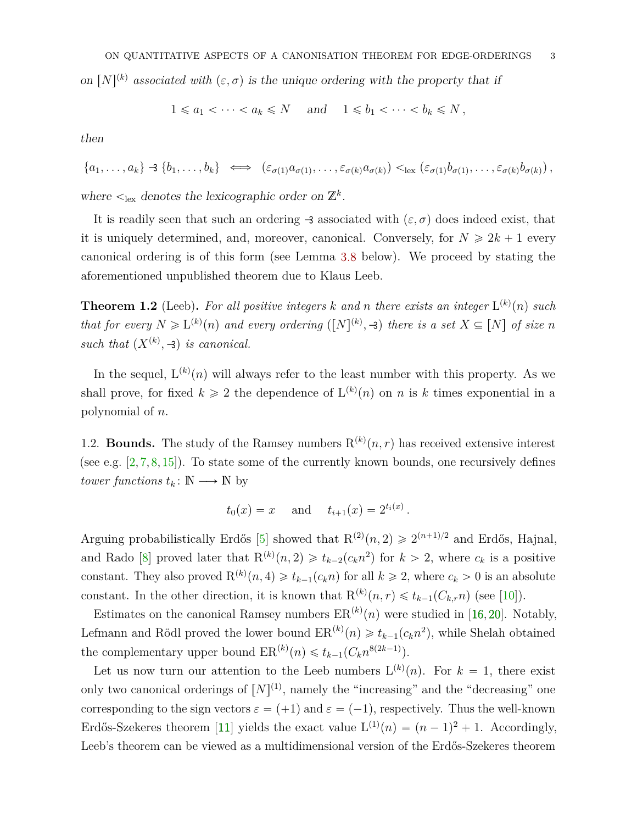on  $[N]^{(k)}$  associated with  $(\varepsilon, \sigma)$  is the unique ordering with the property that if

$$
1 \leq a_1 < \cdots < a_k \leq N \quad \text{and} \quad 1 \leq b_1 < \cdots < b_k \leq N \,,
$$

then

$$
\{a_1,\ldots,a_k\} \rightarrow \{b_1,\ldots,b_k\} \iff (\varepsilon_{\sigma(1)}a_{\sigma(1)},\ldots,\varepsilon_{\sigma(k)}a_{\sigma(k)}) <_{\text{lex}} (\varepsilon_{\sigma(1)}b_{\sigma(1)},\ldots,\varepsilon_{\sigma(k)}b_{\sigma(k)}),
$$

where  $\lt_{\text{lex}}$  denotes the lexicographic order on  $\mathbb{Z}^k$ .

It is readily seen that such an ordering  $\rightarrow$  associated with  $(\varepsilon, \sigma)$  does indeed exist, that it is uniquely determined, and, moreover, canonical. Conversely, for  $N \geq 2k + 1$  every canonical ordering is of this form (see Lemma [3.8](#page-20-0) below). We proceed by stating the aforementioned unpublished theorem due to Klaus Leeb.

**Theorem 1.2** (Leeb). For all positive integers  $k$  and  $n$  there exists an integer  $L^{(k)}(n)$  such *that for every*  $N \ge L^{(k)}(n)$  *and every ordering*  $([N]^{(k)}, \exists)$  *there is a set*  $X \subseteq [N]$  *of size n such that*  $(X^{(k)}, -3)$  *is canonical.* 

In the sequel,  $L^{(k)}(n)$  will always refer to the least number with this property. As we shall prove, for fixed  $k \geq 2$  the dependence of  $L^{(k)}(n)$  on *n* is *k* times exponential in a polynomial of *n*.

<span id="page-2-0"></span>1.2. **Bounds.** The study of the Ramsey numbers  $R^{(k)}(n,r)$  has received extensive interest (see e.g.  $[2, 7, 8, 15]$  $[2, 7, 8, 15]$  $[2, 7, 8, 15]$  $[2, 7, 8, 15]$  $[2, 7, 8, 15]$  $[2, 7, 8, 15]$  $[2, 7, 8, 15]$ ). To state some of the currently known bounds, one recursively defines *tower functions*  $t_k: \mathbb{N} \longrightarrow \mathbb{N}$  by

$$
t_0(x) = x
$$
 and  $t_{i+1}(x) = 2^{t_i(x)}$ .

Arguing probabilistically Erdős [\[5\]](#page-34-9) showed that  $R^{(2)}(n, 2) \geq 2^{(n+1)/2}$  and Erdős, Hajnal, and Rado [\[8\]](#page-34-8) proved later that  $R^{(k)}(n,2) \geq t_{k-2}(c_k n^2)$  for  $k > 2$ , where  $c_k$  is a positive constant. They also proved  $R^{(k)}(n, 4) \geq t_{k-1}(c_k n)$  for all  $k \geq 2$ , where  $c_k > 0$  is an absolute constant. In the other direction, it is known that  $R^{(k)}(n,r) \leq t_{k-1}(C_{k,r}n)$  (see [\[10\]](#page-34-1)).

Estimates on the canonical Ramsey numbers  $ER^{(k)}(n)$  were studied in [\[16,](#page-35-4) [20\]](#page-35-5). Notably, Lefmann and Rödl proved the lower bound  $ER^{(k)}(n) \geq t_{k-1}(c_k n^2)$ , while Shelah obtained the complementary upper bound  $\text{ER}^{(k)}(n) \leq t_{k-1}(C_k n^{8(2k-1)})$ .

Let us now turn our attention to the Leeb numbers  $L^{(k)}(n)$ . For  $k = 1$ , there exist only two canonical orderings of  $[N]^{(1)}$ , namely the "increasing" and the "decreasing" one corresponding to the sign vectors  $\varepsilon = (+1)$  and  $\varepsilon = (-1)$ , respectively. Thus the well-known Erdős-Szekeres theorem [\[11\]](#page-34-10) yields the exact value  $L^{(1)}(n) = (n-1)^2 + 1$ . Accordingly, Leeb's theorem can be viewed as a multidimensional version of the Erdős-Szekeres theorem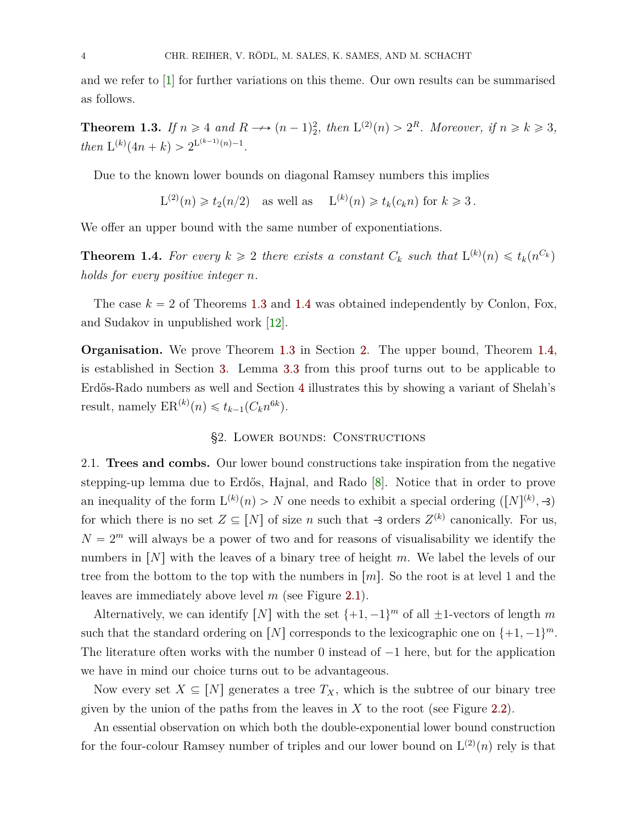and we refer to [\[1\]](#page-34-11) for further variations on this theme. Our own results can be summarised as follows.

<span id="page-3-0"></span>**Theorem 1.3.** *If*  $n \ge 4$  *and*  $R \rightarrow (n-1)^2$ , *then*  $L^{(2)}(n) > 2^R$ *. Moreover, if*  $n \ge k \ge 3$ *, then*  $L^{(k)}(4n+k) > 2^{L^{(k-1)}(n)-1}$ .

Due to the known lower bounds on diagonal Ramsey numbers this implies

 $L^{(2)}(n) \ge t_2(n/2)$  as well as  $L^{(k)}(n) \ge t_k(c_k n)$  for  $k \ge 3$ .

We offer an upper bound with the same number of exponentiations.

<span id="page-3-1"></span>**Theorem 1.4.** For every  $k \geq 2$  there exists a constant  $C_k$  such that  $L^{(k)}(n) \leq t_k(n^{C_k})$ *holds for every positive integer n.*

The case  $k = 2$  of Theorems [1.3](#page-3-0) and [1.4](#page-3-1) was obtained independently by Conlon, Fox, and Sudakov in unpublished work [\[12\]](#page-34-12).

**Organisation.** We prove Theorem [1.3](#page-3-0) in Section [2.](#page-3-2) The upper bound, Theorem [1.4,](#page-3-1) is established in Section [3.](#page-10-0) Lemma [3.3](#page-12-0) from this proof turns out to be applicable to Erdős-Rado numbers as well and Section [4](#page-26-0) illustrates this by showing a variant of Shelah's result, namely  $\text{ER}^{(k)}(n) \leq t_{k-1}(C_k n^{6k}).$ 

#### §2. Lower bounds: Constructions

<span id="page-3-3"></span><span id="page-3-2"></span>2.1. **Trees and combs.** Our lower bound constructions take inspiration from the negative stepping-up lemma due to Erdős, Hajnal, and Rado [\[8\]](#page-34-8). Notice that in order to prove an inequality of the form  $L^{(k)}(n) > N$  one needs to exhibit a special ordering  $([N]^{(k)}, \rightarrow)$ for which there is no set  $Z \subseteq [N]$  of size *n* such that  $\exists$  orders  $Z^{(k)}$  canonically. For us,  $N = 2<sup>m</sup>$  will always be a power of two and for reasons of visualisability we identify the numbers in  $[N]$  with the leaves of a binary tree of height *m*. We label the levels of our tree from the bottom to the top with the numbers in  $\lfloor m \rfloor$ . So the root is at level 1 and the leaves are immediately above level *m* (see Figure [2.1\)](#page-4-0).

Alternatively, we can identify [*N*] with the set  $\{+1, -1\}^m$  of all  $\pm 1$ -vectors of length *m* such that the standard ordering on  $[N]$  corresponds to the lexicographic one on  $\{+1, -1\}^m$ . The literature often works with the number  $0$  instead of  $-1$  here, but for the application we have in mind our choice turns out to be advantageous.

Now every set  $X \subseteq [N]$  generates a tree  $T_X$ , which is the subtree of our binary tree given by the union of the paths from the leaves in  $X$  to the root (see Figure [2.2\)](#page-4-1).

An essential observation on which both the double-exponential lower bound construction for the four-colour Ramsey number of triples and our lower bound on  $L^{(2)}(n)$  rely is that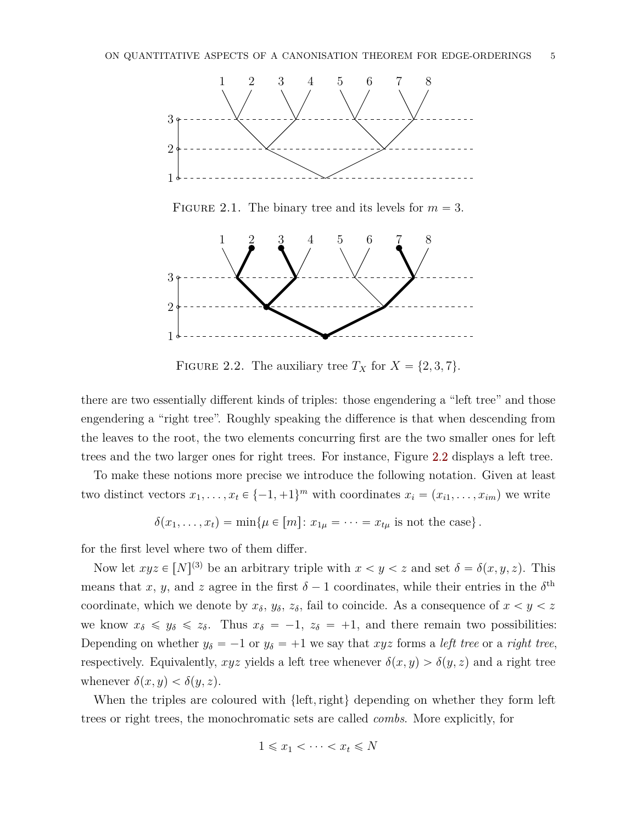<span id="page-4-0"></span>

FIGURE 2.1. The binary tree and its levels for  $m = 3$ .

<span id="page-4-1"></span>

FIGURE 2.2. The auxiliary tree  $T_X$  for  $X = \{2, 3, 7\}.$ 

there are two essentially different kinds of triples: those engendering a "left tree" and those engendering a "right tree". Roughly speaking the difference is that when descending from the leaves to the root, the two elements concurring first are the two smaller ones for left trees and the two larger ones for right trees. For instance, Figure [2.2](#page-4-1) displays a left tree.

To make these notions more precise we introduce the following notation. Given at least two distinct vectors  $x_1, \ldots, x_t \in \{-1, +1\}^m$  with coordinates  $x_i = (x_{i1}, \ldots, x_{im})$  we write

$$
\delta(x_1,\ldots,x_t)=\min\{\mu\in[m]:x_{1\mu}=\cdots=x_{t\mu}\text{ is not the case}\}.
$$

for the first level where two of them differ.

Now let  $xyz \in [N]^{(3)}$  be an arbitrary triple with  $x < y < z$  and set  $\delta = \delta(x, y, z)$ . This means that *x*, *y*, and *z* agree in the first  $\delta - 1$  coordinates, while their entries in the  $\delta^{\text{th}}$ coordinate, which we denote by  $x_{\delta}$ ,  $y_{\delta}$ ,  $z_{\delta}$ , fail to coincide. As a consequence of  $x < y < z$ we know  $x_{\delta} \leq y_{\delta} \leq z_{\delta}$ . Thus  $x_{\delta} = -1$ ,  $z_{\delta} = +1$ , and there remain two possibilities: Depending on whether  $y_{\delta} = -1$  or  $y_{\delta} = +1$  we say that *xyz* forms a *left tree* or a *right tree*, respectively. Equivalently,  $xyz$  yields a left tree whenever  $\delta(x, y) > \delta(y, z)$  and a right tree whenever  $\delta(x, y) < \delta(y, z)$ .

When the triples are coloured with  $\{\text{left}, \text{right}\}$  depending on whether they form left trees or right trees, the monochromatic sets are called *combs*. More explicitly, for

$$
1 \leqslant x_1 < \cdots < x_t \leqslant N
$$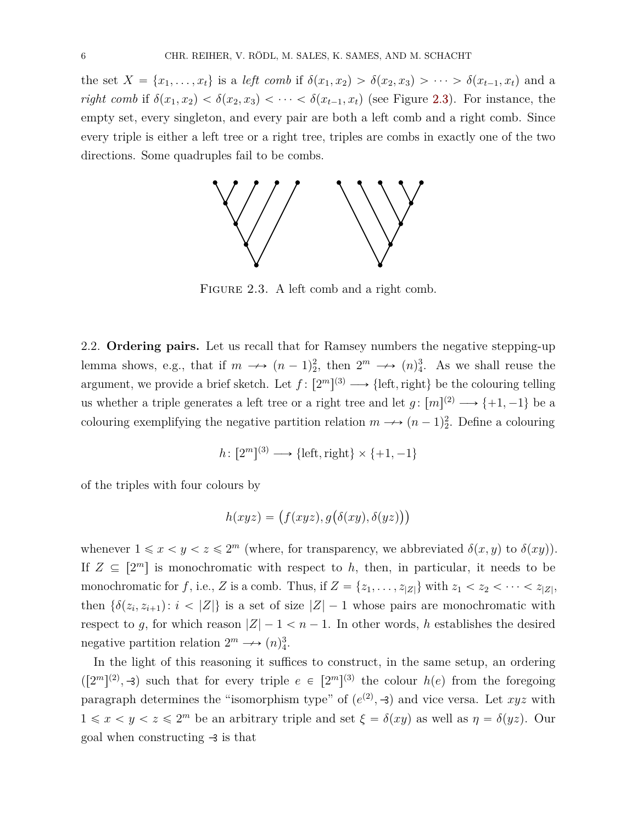<span id="page-5-0"></span>the set  $X = \{x_1, \ldots, x_t\}$  is a *left comb* if  $\delta(x_1, x_2) > \delta(x_2, x_3) > \cdots > \delta(x_{t-1}, x_t)$  and a *right comb* if  $\delta(x_1, x_2) < \delta(x_2, x_3) < \cdots < \delta(x_{t-1}, x_t)$  (see Figure [2.3\)](#page-5-0). For instance, the empty set, every singleton, and every pair are both a left comb and a right comb. Since every triple is either a left tree or a right tree, triples are combs in exactly one of the two directions. Some quadruples fail to be combs.



FIGURE 2.3. A left comb and a right comb.

2.2. **Ordering pairs.** Let us recall that for Ramsey numbers the negative stepping-up lemma shows, e.g., that if  $m \rightarrow (n-1)^2$ , then  $2^m \rightarrow (n)^3$ . As we shall reuse the argument, we provide a brief sketch. Let  $f: [2<sup>m</sup>]^{(3)} \longrightarrow \{\text{left}, \text{right}\}\$  be the colouring telling us whether a triple generates a left tree or a right tree and let  $g: [m]^{(2)} \longrightarrow \{+1, -1\}$  be a colouring exemplifying the negative partition relation  $m \rightarrow (n-1)_2^2$ . Define a colouring

$$
h \colon [2^m]^{(3)} \longrightarrow \{\text{left}, \text{right}\} \times \{+1, -1\}
$$

of the triples with four colours by

$$
h(xyz) = (f(xyz), g(\delta(xy), \delta(yz)))
$$

whenever  $1 \le x < y < z \le 2^m$  (where, for transparency, we abbreviated  $\delta(x, y)$  to  $\delta(xy)$ ). If  $Z \subseteq [2^m]$  is monochromatic with respect to *h*, then, in particular, it needs to be monochromatic for *f*, i.e., *Z* is a comb. Thus, if  $Z = \{z_1, \ldots, z_{|Z|}\}\$  with  $z_1 < z_2 < \cdots < z_{|Z|}$ , then  $\{\delta(z_i, z_{i+1}) : i < |Z|\}$  is a set of size  $|Z| - 1$  whose pairs are monochromatic with respect to g, for which reason  $|Z| - 1 < n - 1$ . In other words, h establishes the desired negative partition relation  $2^m \longrightarrow (n)_4^3$ .

In the light of this reasoning it suffices to construct, in the same setup, an ordering  $([2<sup>m</sup>]$ <sup>(2)</sup>, -3) such that for every triple  $e \in [2<sup>m</sup>]$ <sup>(3)</sup> the colour  $h(e)$  from the foregoing paragraph determines the "isomorphism type" of  $(e^{(2)}, -3)$  and vice versa. Let *xyz* with  $1 \leq x \leq y \leq z \leq 2^m$  be an arbitrary triple and set  $\xi = \delta(xy)$  as well as  $\eta = \delta(yz)$ . Our goal when constructing  $\rightarrow$  is that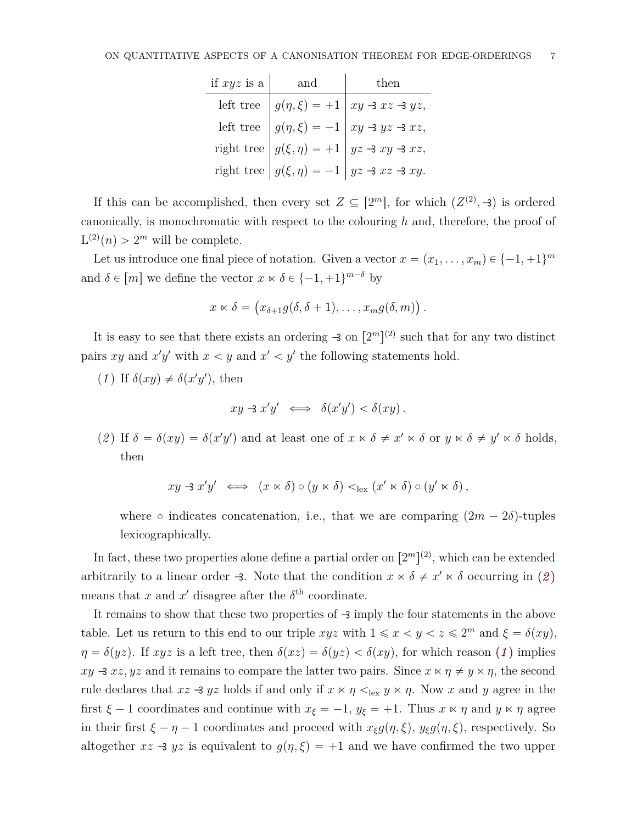| if $xyz$ is a $ $ and | then                                                                                                                                                                                                            |
|-----------------------|-----------------------------------------------------------------------------------------------------------------------------------------------------------------------------------------------------------------|
|                       | left tree $g(\eta, \xi) = +1$ $xy \rightarrow xz \rightarrow yz$ ,<br>left tree $g(\eta, \xi) = -1$ $xy \rightarrow yz \rightarrow xz$ ,<br>right tree $g(\xi, \eta) = +1$ $yz \rightarrow xy \rightarrow xz$ , |
|                       |                                                                                                                                                                                                                 |
|                       |                                                                                                                                                                                                                 |
|                       | right tree $ g(\xi, \eta) = -1   yz \rightarrow xz \rightarrow xy$ .                                                                                                                                            |

If this can be accomplished, then every set  $Z \subseteq [2^m]$ , for which  $(Z^{(2)}, -3)$  is ordered canonically, is monochromatic with respect to the colouring *h* and, therefore, the proof of  $L^{(2)}(n) > 2^m$  will be complete.

Let us introduce one final piece of notation. Given a vector  $x = (x_1, \ldots, x_m) \in \{-1, +1\}^m$ and  $\delta \in [m]$  we define the vector  $x \times \delta \in \{-1, +1\}^{m-\delta}$  by

$$
x \ltimes \delta = (x_{\delta+1}g(\delta,\delta+1),\ldots,x_mg(\delta,m)).
$$

It is easy to see that there exists an ordering  $\rightarrow$  on  $[2^m]^{(2)}$  such that for any two distinct pairs *xy* and  $x'y'$  with  $x < y$  and  $x' < y'$  the following statements hold.

<span id="page-6-1"></span> $(1)$  If  $\delta(xy) \neq \delta(x'y')$ , then

$$
xy \triangleleft x'y' \iff \delta(x'y') < \delta(xy).
$$

<span id="page-6-0"></span>(2) If  $\delta = \delta(xy) = \delta(x'y')$  and at least one of  $x \times \delta \neq x' \times \delta$  or  $y \times \delta \neq y' \times \delta$  holds, then

$$
xy \to x'y' \iff (x \ltimes \delta) \circ (y \ltimes \delta) <_{\text{lex}} (x' \ltimes \delta) \circ (y' \ltimes \delta),
$$

where  $\circ$  indicates concatenation, i.e., that we are comparing  $(2m - 2\delta)$ -tuples lexicographically.

In fact, these two properties alone define a partial order on  $[2^m]^{(2)}$ , which can be extended arbitrarily to a linear order  $-3$ . Note that the condition  $x \times \delta \neq x' \times \delta$  occurring in ([2](#page-6-0)) means that  $x$  and  $x'$  disagree after the  $\delta^{\text{th}}$  coordinate.

It remains to show that these two properties of  $\rightarrow$  imply the four statements in the above table. Let us return to this end to our triple  $xyz$  with  $1 \le x \le y \le z \le 2^m$  and  $\xi = \delta(xy)$ ,  $\eta = \delta(yz)$ . If *xyz* is a left tree, then  $\delta(xz) = \delta(yz) < \delta(xy)$ , for which reason (*[1](#page-6-1)*) implies  $xy \rightarrow xz, yz$  and it remains to compare the latter two pairs. Since  $x \Join \eta \neq y \Join \eta$ , the second rule declares that  $xz \rightarrow yz$  holds if and only if  $x \Join \eta \leq_{\text{lex}} y \Join \eta$ . Now x and y agree in the first  $\xi - 1$  coordinates and continue with  $x_{\xi} = -1$ ,  $y_{\xi} = +1$ . Thus  $x \ltimes \eta$  and  $y \ltimes \eta$  agree in their first  $\xi - \eta - 1$  coordinates and proceed with  $x_{\xi}g(\eta, \xi)$ ,  $y_{\xi}g(\eta, \xi)$ , respectively. So altogether  $xz \rightarrow yz$  is equivalent to  $g(\eta, \xi) = +1$  and we have confirmed the two upper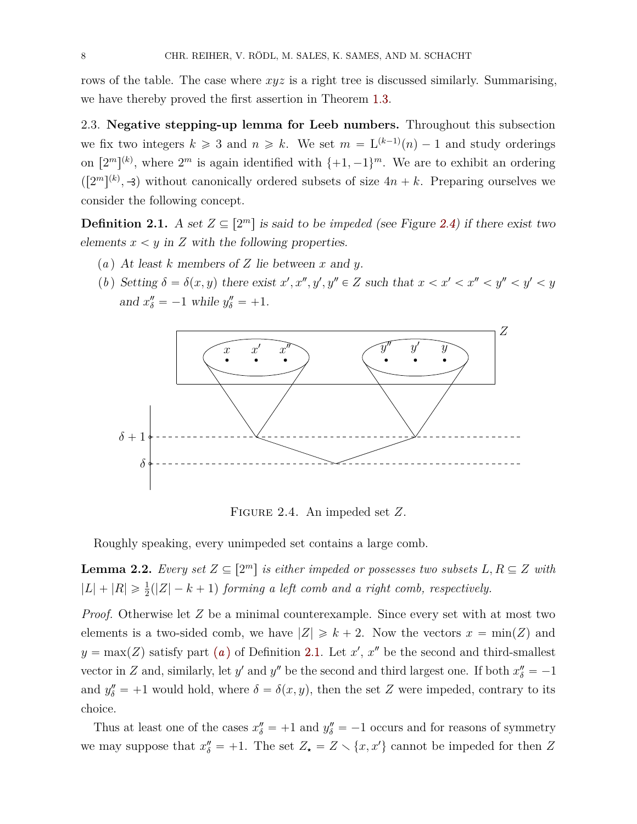rows of the table. The case where *xyz* is a right tree is discussed similarly. Summarising, we have thereby proved the first assertion in Theorem [1.3.](#page-3-0)

2.3. **Negative stepping-up lemma for Leeb numbers.** Throughout this subsection we fix two integers  $k \geq 3$  and  $n \geq k$ . We set  $m = L^{(k-1)}(n) - 1$  and study orderings on  $[2^m]^{(k)}$ , where  $2^m$  is again identified with  $\{+1, -1\}^m$ . We are to exhibit an ordering  $\left( \left[ 2^m \right]^{(k)} , \exists \right)$  without canonically ordered subsets of size  $4n + k$ . Preparing ourselves we consider the following concept.

<span id="page-7-2"></span>**Definition 2.1.** A set  $Z \subseteq [2^m]$  is said to be *impeded* (see Figure [2.4\)](#page-7-0) if there exist two elements  $x < y$  in  $Z$  with the following properties.

- <span id="page-7-1"></span>(*a* ) At least *k* members of *Z* lie between *x* and *y*.
- (*b*) Setting  $\delta = \delta(x, y)$  there exist  $x', x'', y', y'' \in Z$  such that  $x < x' < x'' < y'' < y' < y$ and  $x''_{\delta} = -1$  while  $y''_{\delta} = +1$ .

<span id="page-7-0"></span>

Figure 2.4. An impeded set *Z*.

Roughly speaking, every unimpeded set contains a large comb.

<span id="page-7-3"></span>**Lemma 2.2.** *Every set*  $Z \subseteq [2^m]$  *is either impeded or possesses two subsets*  $L, R \subseteq Z$  *with*  $|L| + |R| \ge \frac{1}{2}(|Z| - k + 1)$  forming a left comb and a right comb, respectively.

*Proof.* Otherwise let *Z* be a minimal counterexample. Since every set with at most two elements is a two-sided comb, we have  $|Z| \ge k + 2$ . Now the vectors  $x = \min(Z)$  and  $y = \max(Z)$  $y = \max(Z)$  $y = \max(Z)$  satisfy part (*a*) of Definition [2.1.](#page-7-2) Let *x*', *x*<sup>"</sup> be the second and third-smallest vector in *Z* and, similarly, let *y*' and *y*<sup>*n*</sup> be the second and third largest one. If both  $x''_{\delta} = -1$ and  $y''_{\delta} = +1$  would hold, where  $\delta = \delta(x, y)$ , then the set *Z* were impeded, contrary to its choice.

Thus at least one of the cases  $x''_{\delta} = +1$  and  $y''_{\delta} = -1$  occurs and for reasons of symmetry we may suppose that  $x''_{\delta} = +1$ . The set  $Z_{\star} = Z \setminus \{x, x'\}$  cannot be impeded for then *Z*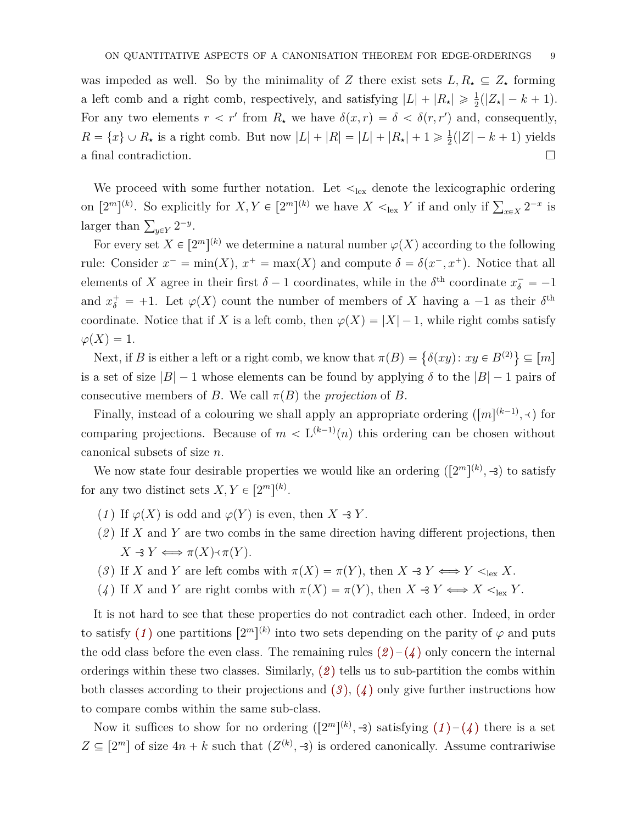was impeded as well. So by the minimality of *Z* there exist sets  $L, R_{\star} \subseteq Z_{\star}$  forming a left comb and a right comb, respectively, and satisfying  $|L| + |R_{\star}| \geq \frac{1}{2}(|Z_{\star}| - k + 1)$ . For any two elements  $r < r'$  from  $R_{\star}$  we have  $\delta(x, r) = \delta < \delta(r, r')$  and, consequently,  $R = \{x\} \cup R_{\star}$  is a right comb. But now  $|L| + |R| = |L| + |R_{\star}| + 1 \geq \frac{1}{2}$  $\frac{1}{2}(|Z| - k + 1)$  yields a final contradiction.

We proceed with some further notation. Let  $\leq_{\text{lex}}$  denote the lexicographic ordering on  $[2^m]^{(k)}$ . So explicitly for  $X, Y \in [2^m]^{(k)}$  we have  $X \leq_{\text{lex}} Y$  if and only if  $\sum_{x \in X} 2^{-x}$  is  $\log \frac{1}{2}$  is than  $\sum_{y \in Y} 2^{-y}$ .

For every set  $X \in [2^m]^{(k)}$  we determine a natural number  $\varphi(X)$  according to the following rule: Consider  $x^- = \min(X)$ ,  $x^+ = \max(X)$  and compute  $\delta = \delta(x^-, x^+)$ . Notice that all elements of *X* agree in their first  $\delta - 1$  coordinates, while in the  $\delta^{\text{th}}$  coordinate  $x_{\delta}^- = -1$ and  $x_{\delta}^{+} = +1$ . Let  $\varphi(X)$  count the number of members of *X* having a -1 as their  $\delta^{\text{th}}$ coordinate. Notice that if *X* is a left comb, then  $\varphi(X) = |X| - 1$ , while right combs satisfy  $\varphi(X) = 1.$ (

 $(X) = 1.$ <br>Next, if *B* is either a left or a right comb, we know that  $\pi(B) = \{ \delta(xy) : xy \in B^{(2)} \}$  $\subseteq [m]$ is a set of size  $|B| - 1$  whose elements can be found by applying  $\delta$  to the  $|B| - 1$  pairs of consecutive members of *B*. We call  $\pi(B)$  the *projection* of *B*.

Finally, instead of a colouring we shall apply an appropriate ordering  $([m]^{(k-1)}, \prec)$  for comparing projections. Because of  $m < L^{(k-1)}(n)$  this ordering can be chosen without canonical subsets of size *n*.

We now state four desirable properties we would like an ordering  $([2^m]^{(k)}, \rightarrow)$  to satisfy for any two distinct sets  $X, Y \in [2^m]^{(k)}$ .

- <span id="page-8-0"></span>(1) If  $\varphi(X)$  is odd and  $\varphi(Y)$  is even, then  $X \ni Y$ .
- <span id="page-8-1"></span>(*2* ) If *X* and *Y* are two combs in the same direction having different projections, then  $X \rightarrow Y \Longleftrightarrow \pi(X) \land \pi(Y).$
- <span id="page-8-3"></span>(*3*) If *X* and *Y* are left combs with  $\pi(X) = \pi(Y)$ , then  $X \to Y \Longleftrightarrow Y \leq_{\text{lex}} X$ .
- <span id="page-8-2"></span>(*4*) If *X* and *Y* are right combs with  $\pi(X) = \pi(Y)$ , then  $X \rightarrow Y \Longleftrightarrow X \leq_{\text{lex}} Y$ .

It is not hard to see that these properties do not contradict each other. Indeed, in order to satisfy ([1](#page-8-0)) one partitions  $[2^m]^{(k)}$  into two sets depending on the parity of  $\varphi$  and puts the odd class before the even class. The remaining rules  $(2)-(4)$  $(2)-(4)$  $(2)-(4)$  $(2)-(4)$  $(2)-(4)$  only concern the internal orderings within these two classes. Similarly, (*[2](#page-8-1)* ) tells us to sub-partition the combs within both classes according to their projections and (*[3](#page-8-3)* ), (*[4](#page-8-2)* ) only give further instructions how to compare combs within the same sub-class.

Now it suffices to show for no ordering  $([2<sup>m</sup>]^{(k)}$ ,  $\rightarrow$ ) satisfying  $(1) - (4)$  $(1) - (4)$  $(1) - (4)$  $(1) - (4)$  $(1) - (4)$  there is a set  $Z \subseteq [2^m]$  of size  $4n + k$  such that  $(Z^{(k)}, \mathcal{A})$  is ordered canonically. Assume contrariwise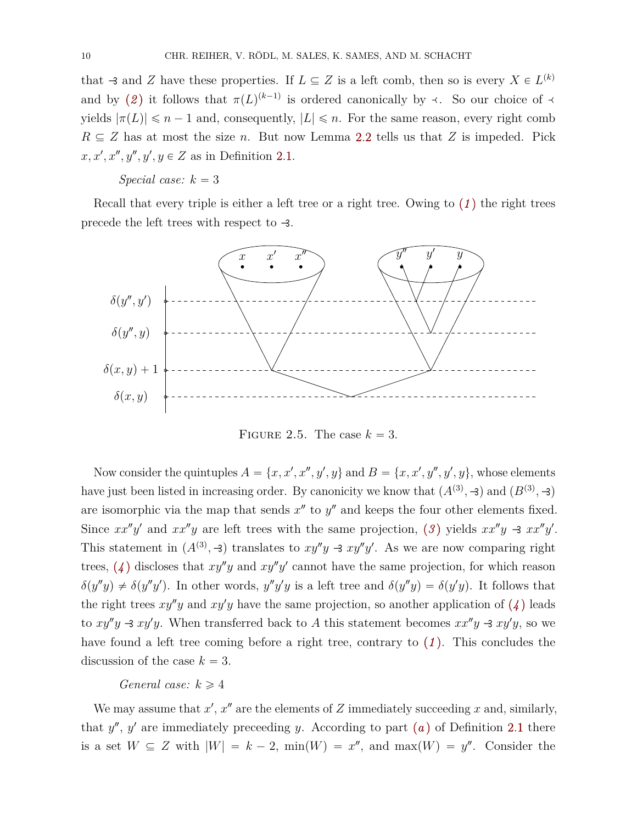that  $\exists$  and *Z* have these properties. If  $L \subseteq Z$  is a left comb, then so is every  $X \in L^{(k)}$ and by ([2](#page-8-1)) it follows that  $\pi(L)^{(k-1)}$  is ordered canonically by  $\prec$ . So our choice of  $\prec$ yields  $|\pi(L)| \leq n-1$  and, consequently,  $|L| \leq n$ . For the same reason, every right comb  $R \subseteq Z$  has at most the size *n*. But now Lemma [2.2](#page-7-3) tells us that *Z* is impeded. Pick  $x, x', x'', y'', y', y \in Z$  as in Definition [2.1.](#page-7-2)

# *Special case:*  $k = 3$

Recall that every triple is either a left tree or a right tree. Owing to (*[1](#page-8-0)* ) the right trees precede the left trees with respect to  $\triangleleft$ .



FIGURE 2.5. The case  $k = 3$ .

Now consider the quintuples  $A = \{x, x', x'', y', y\}$  and  $B = \{x, x', y'', y', y\}$ , whose elements have just been listed in increasing order. By canonicity we know that  $(A^{(3)}, -3)$  and  $(B^{(3)}, -3)$ are isomorphic via the map that sends  $x''$  to  $y''$  and keeps the four other elements fixed. Since  $xx''y'$  and  $xx''y$  are left trees with the same projection, ([3](#page-8-3)) yields  $xx''y \rightarrow xx''y'$ . This statement in  $(A^{(3)}, -3)$  translates to  $xy''y - 3xy''y'$ . As we are now comparing right trees,  $(4)$  $(4)$  $(4)$  discloses that  $xy''y$  and  $xy''y'$  cannot have the same projection, for which reason  $\delta(y''y) \neq \delta(y''y')$ . In other words,  $y''y'y$  is a left tree and  $\delta(y''y) = \delta(y'y)$ . It follows that the right trees  $xy''y$  and  $xy'y$  have the same projection, so another application of  $(4)$  $(4)$  $(4)$  leads to  $xy''y \rightarrow xy'y$ . When transferred back to *A* this statement becomes  $xx''y \rightarrow xy'y$ , so we have found a left tree coming before a right tree, contrary to (*[1](#page-8-0)* ). This concludes the discussion of the case  $k = 3$ .

### *General case:*  $k \geq 4$

We may assume that  $x'$ ,  $x''$  are the elements of  $Z$  immediately succeeding  $x$  and, similarly, th[a](#page-7-1)t  $y''$ ,  $y'$  are immediately preceeding *y*. According to part  $(a)$  of Definition [2.1](#page-7-2) there is a set  $W \subseteq Z$  with  $|W| = k - 2$ ,  $min(W) = x''$ , and  $max(W) = y''$ . Consider the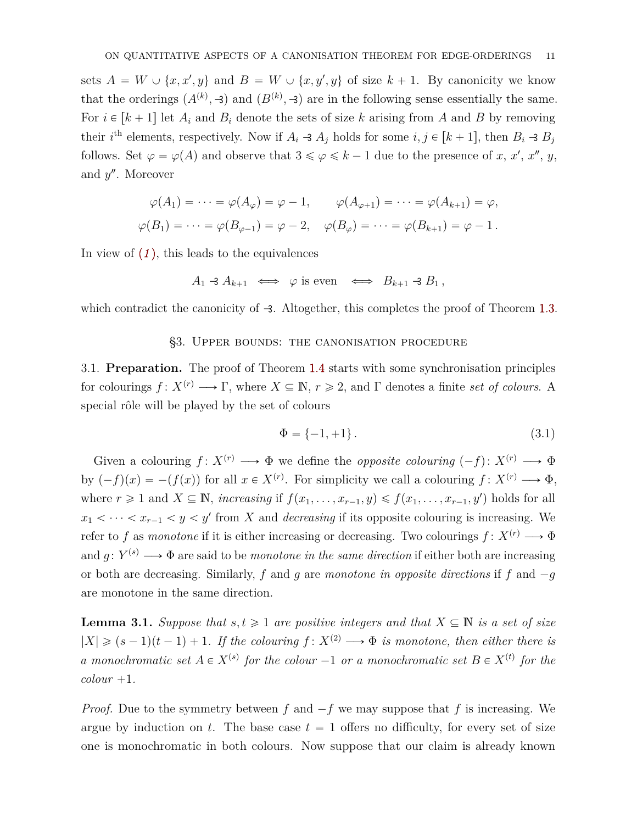sets  $A = W \cup \{x, x', y\}$  and  $B = W \cup \{x, y', y\}$  of size  $k + 1$ . By canonicity we know that the orderings  $(A^{(k)}, \mathcal{A})$  and  $(B^{(k)}, \mathcal{A})$  are in the following sense essentially the same. For  $i \in [k+1]$  let  $A_i$  and  $B_i$  denote the sets of size k arising from A and B by removing their *i*<sup>th</sup> elements, respectively. Now if  $A_i \rightarrow A_j$  holds for some  $i, j \in [k+1]$ , then  $B_i \rightarrow B_j$ follows. Set  $\varphi = \varphi(A)$  and observe that  $3 \le \varphi \le k - 1$  due to the presence of *x*, *x'*, *x''*, *y*, and y''. Moreover

$$
\varphi(A_1) = \dots = \varphi(A_{\varphi}) = \varphi - 1, \qquad \varphi(A_{\varphi+1}) = \dots = \varphi(A_{k+1}) = \varphi,
$$
  

$$
\varphi(B_1) = \dots = \varphi(B_{\varphi-1}) = \varphi - 2, \quad \varphi(B_{\varphi}) = \dots = \varphi(B_{k+1}) = \varphi - 1.
$$

In view of (*[1](#page-8-0)* ), this leads to the equivalences

$$
A_1 \triangleleft A_{k+1} \iff \varphi \text{ is even} \iff B_{k+1} \triangleleft B_1,
$$

<span id="page-10-0"></span>which contradict the canonicity of  $\rightarrow$ . Altogether, this completes the proof of Theorem [1.3.](#page-3-0)

### §3. Upper bounds: the canonisation procedure

<span id="page-10-3"></span>3.1. **Preparation.** The proof of Theorem [1.4](#page-3-1) starts with some synchronisation principles for colourings  $f: X^{(r)} \longrightarrow \Gamma$ , where  $X \subseteq \mathbb{N}$ ,  $r \geq 2$ , and  $\Gamma$  denotes a finite *set of colours*. A special rôle will be played by the set of colours

<span id="page-10-2"></span>
$$
\Phi = \{-1, +1\}.
$$
\n(3.1)

Given a colouring  $f: X^{(r)} \longrightarrow \Phi$  we define the *opposite colouring*  $(-f): X^{(r)} \longrightarrow \Phi$ by  $(-f)(x) = -(f(x))$  for all  $x \in X^{(r)}$ . For simplicity we call a colouring  $f: X^{(r)} \longrightarrow \Phi$ , where  $r \geq 1$  and  $X \subseteq \mathbb{N}$ , *increasing* if  $f(x_1, \ldots, x_{r-1}, y) \leq f(x_1, \ldots, x_{r-1}, y')$  holds for all  $x_1 < \cdots < x_{r-1} < y < y'$  from *X* and *decreasing* if its opposite colouring is increasing. We refer to *f* as *monotone* if it is either increasing or decreasing. Two colourings  $f: X^{(r)} \longrightarrow \Phi$ and  $g: Y^{(s)} \longrightarrow \Phi$  are said to be *monotone in the same direction* if either both are increasing or both are decreasing. Similarly,  $f$  and  $g$  are *monotone* in opposite directions if  $f$  and  $-g$ are monotone in the same direction.

<span id="page-10-1"></span>**Lemma 3.1.** *Suppose that*  $s, t \geq 1$  *are positive integers and that*  $X \subseteq \mathbb{N}$  *is a set of size*  $|X| \geq (s-1)(t-1) + 1$ . If the colouring  $f: X^{(2)} \longrightarrow \Phi$  is monotone, then either there is *a* monochromatic set  $A \in X^{(s)}$  for the colour  $-1$  or a monochromatic set  $B \in X^{(t)}$  for the  $\mathit{colour}$  +1.

*Proof.* Due to the symmetry between  $f$  and  $-f$  we may suppose that  $f$  is increasing. We argue by induction on  $t$ . The base case  $t = 1$  offers no difficulty, for every set of size one is monochromatic in both colours. Now suppose that our claim is already known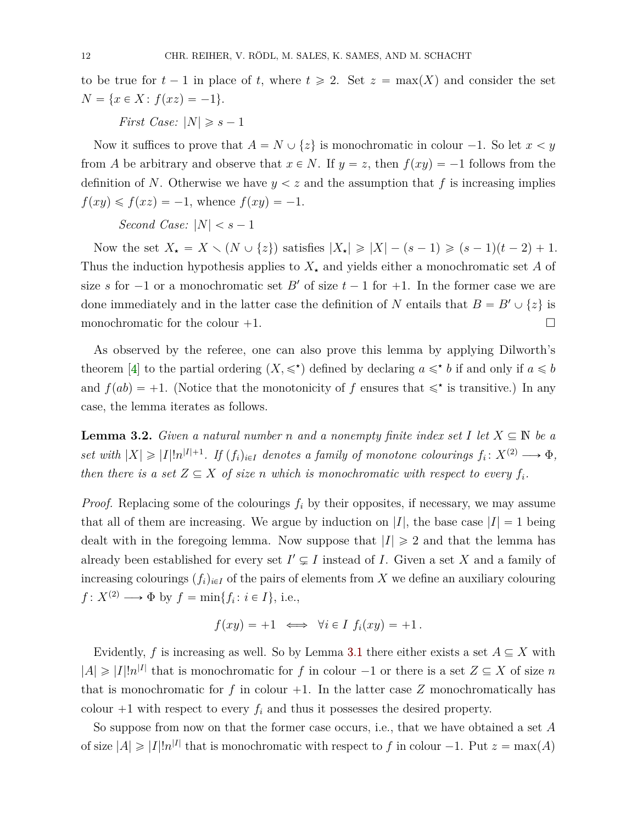to be true for  $t - 1$  in place of t, where  $t \ge 2$ . Set  $z = \max(X)$  and consider the set  $N = \{x \in X : f(xz) = -1\}.$ 

*First Case:*  $|N| \geq s - 1$ 

Now it suffices to prove that  $A = N \cup \{z\}$  is monochromatic in colour  $-1$ . So let  $x < y$ from *A* be arbitrary and observe that  $x \in N$ . If  $y = z$ , then  $f(xy) = -1$  follows from the definition of N. Otherwise we have  $y < z$  and the assumption that f is increasing implies  $f(xy) \leq f(xz) = -1$ , whence  $f(xy) = -1$ .

*Second Case:*  $|N| < s - 1$ 

Now the set  $X_{\star} = X \setminus (N \cup \{z\})$  satisfies  $|X_{\star}| \geq |X| - (s - 1) \geq (s - 1)(t - 2) + 1$ . Thus the induction hypothesis applies to  $X_{\star}$  and yields either a monochromatic set A of size *s* for  $-1$  or a monochromatic set *B'* of size  $t - 1$  for  $+1$ . In the former case we are done immediately and in the latter case the definition of *N* entails that  $B = B' \cup \{z\}$  is monochromatic for the colour  $+1$ .

As observed by the referee, one can also prove this lemma by applying Dilworth's theorem [\[4\]](#page-34-13) to the partial ordering  $(X, \leq \cdot)$  defined by declaring  $a \leq \cdot b$  if and only if  $a \leq b$ and  $f(ab) = +1$ . (Notice that the monotonicity of *f* ensures that  $\leq \cdot$  is transitive.) In any case, the lemma iterates as follows.

<span id="page-11-0"></span>**Lemma 3.2.** *Given a natural number n and a nonempty finite index set I* let  $X \subseteq \mathbb{N}$  be a *set with*  $|X| \geq |I|!n^{|I|+1}$ . If  $(f_i)_{i \in I}$  denotes a family of monotone colourings  $f_i: X^{(2)} \longrightarrow \Phi$ , *then there is a set*  $Z \subseteq X$  *of size n which is monochromatic with respect to every*  $f_i$ *.* 

*Proof.* Replacing some of the colourings  $f_i$  by their opposites, if necessary, we may assume that all of them are increasing. We argue by induction on  $|I|$ , the base case  $|I| = 1$  being dealt with in the foregoing lemma. Now suppose that  $|I| \geq 2$  and that the lemma has already been established for every set  $I' \subsetneq I$  instead of *I*. Given a set *X* and a family of increasing colourings  $(f_i)_{i \in I}$  of the pairs of elements from X we define an auxiliary colouring  $f: X^{(2)} \longrightarrow \Phi$  by  $f = \min\{f_i : i \in I\}$ , i.e.,

$$
f(xy) = +1 \iff \forall i \in I \ f_i(xy) = +1.
$$

Evidently, f is increasing as well. So by Lemma [3.1](#page-10-1) there either exists a set  $A \subseteq X$  with  $|A| \geq |I|!n^{|I|}$  that is monochromatic for *f* in colour  $-1$  or there is a set  $Z \subseteq X$  of size *n* that is monochromatic for  $f$  in colour  $+1$ . In the latter case  $Z$  monochromatically has colour  $+1$  with respect to every  $f_i$  and thus it possesses the desired property.

So suppose from now on that the former case occurs, i.e., that we have obtained a set *A* of size  $|A| \geq |I|!n^{|I|}$  that is monochromatic with respect to f in colour  $-1$ . Put  $z = \max(A)$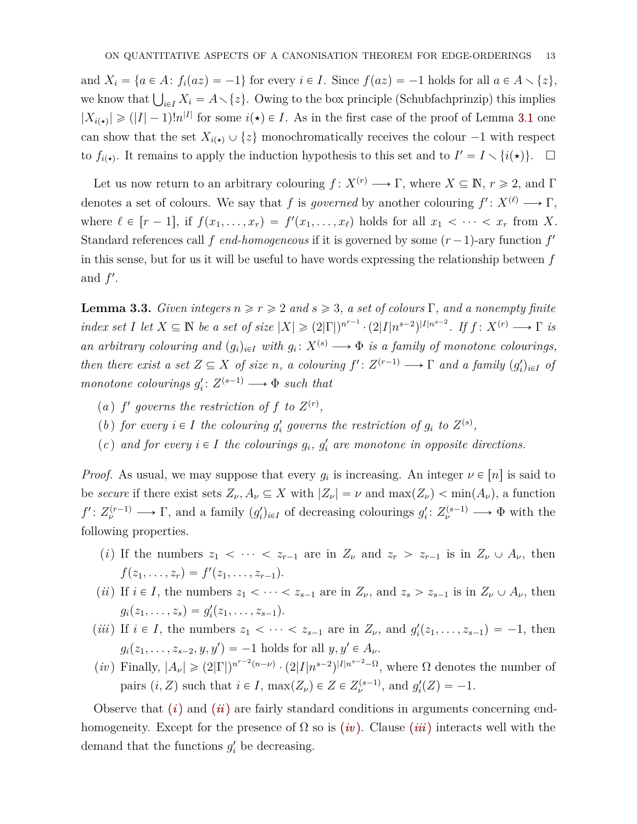and  $X_i = \{a \in A : f_i(az) = -1\}$  for every  $i \in I$ . Since  $f(az) = -1$  holds for all  $a \in A \setminus \{z\},$ we know that  $\bigcup_{i \in I} X_i = A \setminus \{z\}$ . Owing to the box principle (Schubfachprinzip) this implies we know that  $\bigcup_{i \in I} X_i = A \setminus \{z\}$ . Owing to the box principle (Schubfachprinzip) this implies  $|X_{i(\star)}| \geq (|I|-1)!n^{|I|}$  for some  $i(\star) \in I$ . As in the first case of the proof of Lemma [3.1](#page-10-1) one can show that the set  $X_{i(\star)} \cup \{z\}$  monochromatically receives the colour  $-1$  with respect to  $f_{i(\star)}$ . It remains to apply the induction hypothesis to this set and to  $I' = I \setminus \{i(\star)\}\$ .  $\Box$ 

Let us now return to an arbitrary colouring  $f: X^{(r)} \longrightarrow \Gamma$ , where  $X \subseteq \mathbb{N}$ ,  $r \geq 2$ , and  $\Gamma$ denotes a set of colours. We say that *f* is *governed* by another colouring  $f' : X^{(\ell)} \longrightarrow \Gamma$ , where  $\ell \in [r-1]$ , if  $f(x_1, \ldots, x_r) = f'(x_1, \ldots, x_\ell)$  holds for all  $x_1 < \cdots < x_r$  from X. Standard references call  $f$  *end-homogeneous* if it is governed by some  $(r-1)$ -ary function  $f'$ in this sense, but for us it will be useful to have words expressing the relationship between *f* and  $f'$ .

<span id="page-12-0"></span>**Lemma 3.3.** *Given integers*  $n \ge r \ge 2$  *and*  $s \ge 3$ *, a set of colours* Γ*, and a nonempty finite* index set I let  $X \subseteq \mathbb{N}$  be a set of size  $|X| \geq (2|\Gamma|)^{n^{r-1}} \cdot (2|I|n^{s-2})^{|I|n^{s-2}}$ . If  $f: X^{(r)} \longrightarrow \Gamma$  is *an arbitrary colouring and*  $(g_i)_{i \in I}$  *with*  $g_i: X^{(s)} \longrightarrow \Phi$  *is a family of monotone colourings, then there exist a set*  $Z \subseteq X$  *of size n*, *a colouring*  $f' : Z^{(r-1)} \longrightarrow \Gamma$  *and a family*  $(g'_i)_{i \in I}$  *of monotone colourings*  $g_i' : Z^{(s-1)} \longrightarrow \Phi$  *such that* 

- (a) *f* governs the restriction of *f* to  $Z^{(r)}$ ,
- (*b*) *for every*  $i \in I$  *the colouring*  $g'_i$  governs the restriction of  $g_i$  to  $Z^{(s)}$ ,
- (*c*) and for every  $i \in I$  the colourings  $g_i$ ,  $g'_i$  are monotone in opposite directions.

*Proof.* As usual, we may suppose that every  $g_i$  is increasing. An integer  $\nu \in [n]$  is said to be *secure* if there exist sets  $Z_{\nu}$ ,  $A_{\nu} \subseteq X$  with  $|Z_{\nu}| = \nu$  and  $\max(Z_{\nu}) < \min(A_{\nu})$ , a function  $f': Z_{\nu}^{(r-1)} \longrightarrow \Gamma$ , and a family  $(g_i')_{i \in I}$  of decreasing colourings  $g_i': Z_{\nu}^{(s-1)} \longrightarrow \Phi$  with the following properties.

- <span id="page-12-1"></span>(*i*) If the numbers  $z_1 < \cdots < z_{r-1}$  are in  $Z_\nu$  and  $z_r > z_{r-1}$  is in  $Z_\nu \cup A_\nu$ , then  $f(z_1, \ldots, z_r) = f'(z_1, \ldots, z_{r-1}).$
- <span id="page-12-2"></span>(*ii*) If  $i \in I$ , the numbers  $z_1 < \cdots < z_{s-1}$  are in  $Z_{\nu}$ , and  $z_s > z_{s-1}$  is in  $Z_{\nu} \cup A_{\nu}$ , then  $g_i(z_1, \ldots, z_s) = g'_i(z_1, \ldots, z_{s-1}).$
- <span id="page-12-4"></span>(*iii*) If  $i \in I$ , the numbers  $z_1 < \cdots < z_{s-1}$  are in  $Z_{\nu}$ , and  $g'_i(z_1, \ldots, z_{s-1}) = -1$ , then  $g_i(z_1, \ldots, z_{s-2}, y, y') = -1$  holds for all  $y, y' \in A_\nu$ .
- <span id="page-12-3"></span> $(iv)$  Finally,  $|A_{\nu}| \geq (2|\Gamma|)^{n^{r-2}(n-\nu)} \cdot (2|I|n^{s-2})^{|I|n^{s-2}-\Omega}$ , where  $\Omega$  denotes the number of pairs  $(i, Z)$  such that  $i \in I$ ,  $max(Z_\nu) \in Z \in Z_\nu^{(s-1)}$ , and  $g_i'(Z) = -1$ .

Observe that [\(](#page-12-1)*i*) and (*[ii](#page-12-2)*) are fairly standard conditions in arguments concerning endhomogeneity. Except for the presence of  $\Omega$  so is *([iv](#page-12-3))*. Clause *([iii](#page-12-4))* interacts well with the demand that the functions  $g_i'$  be decreasing.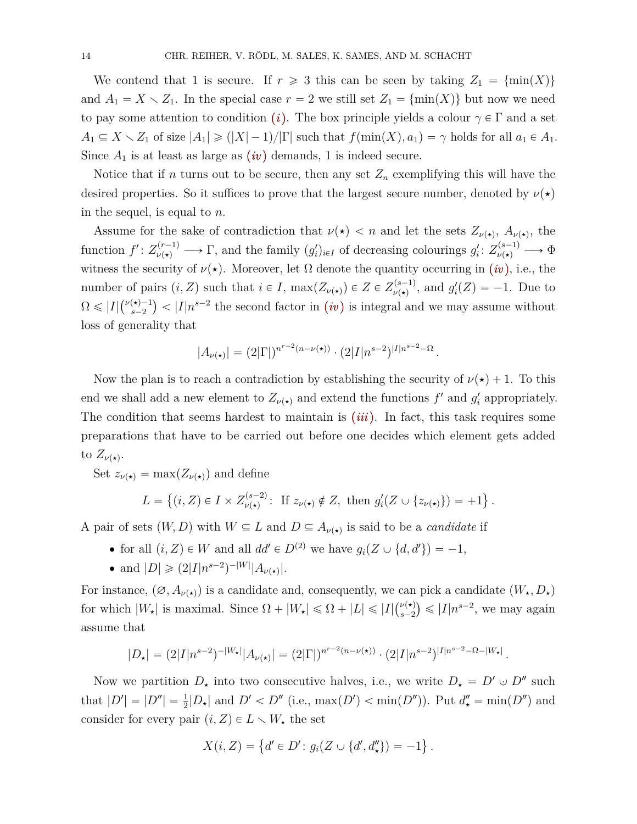We contend that 1 is secure. If  $r \geq 3$  this can be seen by taking  $Z_1 = \{min(X)\}\$ and  $A_1 = X \setminus Z_1$ . In the special case  $r = 2$  we still set  $Z_1 = \{ \min(X) \}$  but now we need to pay some attention to condition (*i*[\).](#page-12-1) The box principle yields a colour  $\gamma \in \Gamma$  and a set  $A_1 \subseteq X \setminus Z_1$  of size  $|A_1| \geq (|X| - 1)/|\Gamma|$  such that  $f(\min(X), a_1) = \gamma$  holds for all  $a_1 \in A_1$ . Since  $A_1$  is at least as large as  $(iv)$  $(iv)$  $(iv)$  demands, 1 is indeed secure.

Notice that if *n* turns out to be secure, then any set  $Z_n$  exemplifying this will have the desired properties. So it suffices to prove that the largest secure number, denoted by  $\nu(\star)$ in the sequel, is equal to *n*.

Assume for the sake of contradiction that  $\nu(\star) < n$  and let the sets  $Z_{\nu(\star)}$ ,  $A_{\nu(\star)}$ , the  $f': Z_{\nu(\star)}^{(r-1)} \longrightarrow \Gamma$ , and the family  $(g_i')_{i \in I}$  of decreasing colourings  $g_i': Z_{\nu(\star)}^{(s-1)} \longrightarrow \Phi$ witness the security of  $\nu(\star)$ . Moreover, let  $\Omega$  denote the quantity occurring in (*[iv](#page-12-3)*), i.e., the number of pairs  $(i, Z)$  such that  $i \in I$ ,  $max(Z_{\nu(\star)}) \in Z \in Z_{\nu(\star)}^{(s-1)}$ , and  $g'_{i}(Z) = -1$ . Due to  $\Omega \leqslant |I| \binom{\nu(\star)-1}{s-2}$  $\binom{x}{s-1}$  <  $|I|n^{s-2}$  the second factor in *([iv](#page-12-3))* is integral and we may assume without loss of generality that

$$
|A_{\nu(\star)}| = (2|\Gamma|)^{n^{r-2}(n-\nu(\star))} \cdot (2|I|n^{s-2})^{|I|n^{s-2}-\Omega|}
$$

*.*

(

Now the plan is to reach a contradiction by establishing the security of  $\nu(\star) + 1$ . To this end we shall add a new element to  $Z_{\nu(\star)}$  and extend the functions  $f'$  and  $g'_{i}$  appropriately. The condition that seems hardest to maintain is (*[iii](#page-12-4)*). In fact, this task requires some preparations that have to be carried out before one decides which element gets added to  $Z_{\nu(\star)}$ .

Set  $z_{\nu(\star)} = \max(Z_{\nu(\star)})$  and define

$$
L = \left\{ (i, Z) \in I \times Z_{\nu(\star)}^{(s-2)} : \text{ If } z_{\nu(\star)} \notin Z, \text{ then } g_i'(Z \cup \{z_{\nu(\star)}\}) = +1 \right\}.
$$

A pair of sets  $(W, D)$  with  $W \subseteq L$  and  $D \subseteq A_{\nu(\star)}$  is said to be a *candidate* if

- for all  $(i, Z) \in W$  and all  $dd' \in D^{(2)}$  we have  $g_i(Z \cup \{d, d'\}) = -1$ ,
- and  $|D| \geq (2|I|n^{s-2})^{-|W|}|A_{\nu(\star)}|$ .

For instance,  $(\emptyset, A_{\nu(\star)})$  is a candidate and, consequently, we can pick a candidate  $(W_\star, D_\star)$ for which  $|W_{\star}|$  is maximal. Since  $\Omega + |W_{\star}| \leq \Omega + |L| \leq |I| \binom{\nu(\star)}{s-2}$  $\binom{\nu(\star)}{s-2} \leqslant |I| n^{s-2}$ , we may again assume that

$$
|D_{\star}| = (2|I|n^{s-2})^{-|W_{\star}|}|A_{\nu(\star)}| = (2|\Gamma|)^{n^{r-2}(n-\nu(\star))} \cdot (2|I|n^{s-2})^{|I|n^{s-2}-\Omega-|W_{\star}|}.
$$

Now we partition  $D_{\star}$  into two consecutive halves, i.e., we write  $D_{\star} = D' \cup D''$  such that  $|D'| = |D''| = \frac{1}{2}|D_{\star}|$  and  $D' < D''$  (i.e.,  $\max(D') < \min(D'')$ ). Put  $d''_{\star} = \min(D'')$  and consider for every pair  $(i, Z) \in L \setminus W_{\star}$  the set

$$
X(i, Z) = \{d' \in D' : g_i(Z \cup \{d', d''_*\}) = -1\}.
$$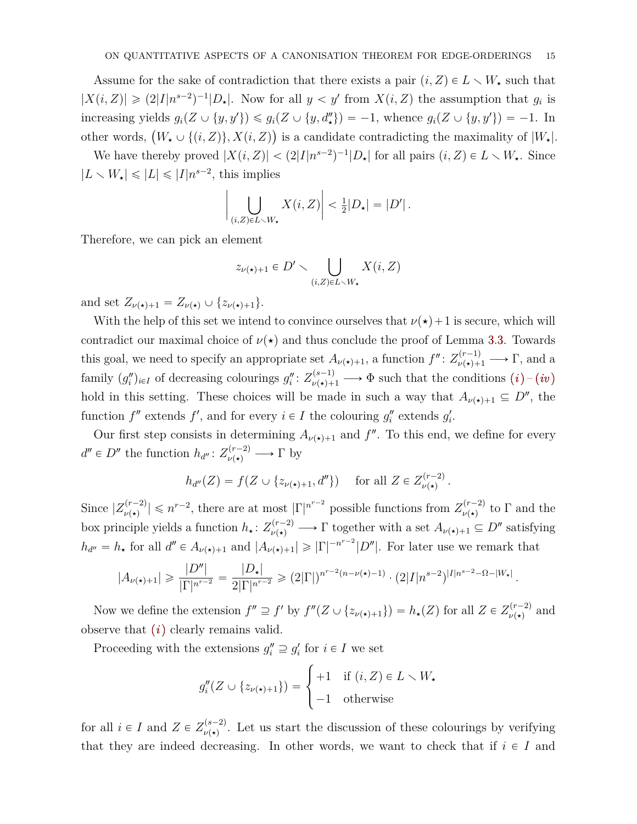Assume for the sake of contradiction that there exists a pair  $(i, Z) \in L \setminus W_{\star}$  such that  $|X(i, Z)| \geq (2|I|n^{s-2})^{-1}|D_{\star}|$ . Now for all  $y < y'$  from  $X(i, Z)$  the assumption that  $g_i$  is increasing yields  $g_i(Z \cup \{y, y'\}) \leq g_i(Z \cup \{y, d''\}) = -1$ , whence  $g_i(Z \cup \{y, y'\}) = -1$ . In increasing yields  $g_i(z \cup \{y, y\}) \leq g_i(z \cup \{y, a_\star\}) = -1$ , whence  $g_i(z \cup \{y, y\}) = -1$ . In<br>other words,  $(W_\star \cup \{(i, Z)\}, X(i, Z))$  is a candidate contradicting the maximality of  $|W_\star|$ .

We have thereby proved  $|X(i, Z)| < (2|I|n^{s-2})^{-1}|D_{\star}|$  for all pairs  $(i, Z) \in L \setminus W_{\star}$ . Since  $|L \setminus W_{\star}| \leqslant |L| \leqslant |I| n^{s-2}$ , this implies ˇ

$$
\bigg|\bigcup_{(i,Z)\in L\smallsetminus W_{\star}}X(i,Z)\bigg|<\tfrac{1}{2}|D_{\star}|=|D'|\,.
$$

Therefore, we can pick an element

$$
z_{\nu(\star)+1} \in D' \smallsetminus \bigcup_{(i,Z)\in L\smallsetminus W_{\star}} X(i,Z)
$$

and set  $Z_{\nu(\star)+1} = Z_{\nu(\star)} \cup \{z_{\nu(\star)+1}\}.$ 

With the help of this set we intend to convince ourselves that  $\nu(\star) + 1$  is secure, which will contradict our maximal choice of  $\nu(\star)$  and thus conclude the proof of Lemma [3.3.](#page-12-0) Towards this goal, we need to specify an appropriate set  $A_{\nu(\star)+1}$ , a function  $f'' : Z_{\nu(\star)+1}^{(r-1)} \longrightarrow \Gamma$ , and a family  $(g''_i)_{i \in I}$  $(g''_i)_{i \in I}$  of decreasing colourings  $g''_i: Z^{(s-1)}_{\nu(\star)+1} \longrightarrow \Phi$  such that the conditions  $(i)-(iv)$  $(i)-(iv)$  $(i)-(iv)$ hold in this setting. These choices will be made in such a way that  $A_{\nu(\star)+1} \subseteq D''$ , the function  $f''$  extends  $f'$ , and for every  $i \in I$  the colouring  $g''_i$  extends  $g'_i$ .

Our first step consists in determining  $A_{\nu(\star)+1}$  and  $f''$ . To this end, we define for every  $d'' \in D''$  the function  $h_{d''}: Z_{\nu(\star)}^{(r-2)} \longrightarrow \Gamma$  by

$$
h_{d''}(Z) = f(Z \cup \{z_{\nu(\star)+1}, d''\}) \quad \text{ for all } Z \in Z_{\nu(\star)}^{(r-2)}.
$$

Since  $|Z_{\nu(\star)}^{(r-2)}| \leq n^{r-2}$ , there are at most  $|\Gamma|^{n^{r-2}}$  possible functions from  $Z_{\nu(\star)}^{(r-2)}$  to  $\Gamma$  and the box principle yields a function  $h_* \colon Z_{\nu(*)}^{(r-2)} \longrightarrow \Gamma$  together with a set  $A_{\nu(*)+1} \subseteq D''$  satisfying  $h_{d''}=h_{\star}$  for all  $d'' \in A_{\nu(\star)+1}$  and  $|A_{\nu(\star)+1}| \geqslant |\Gamma|^{-n^{r-2}}|D''|$ . For later use we remark that

$$
|A_{\nu(\star)+1}| \geqslant \frac{|D''|}{|\Gamma|^{n^{r-2}}} = \frac{|D_{\star}|}{2|\Gamma|^{n^{r-2}}} \geqslant (2|\Gamma|)^{n^{r-2}(n-\nu(\star)-1)} \cdot (2|I|n^{s-2})^{|I|n^{s-2}-\Omega-|W_{\star}|}.
$$

Now we define the extension  $f'' \supseteq f'$  by  $f''(Z \cup \{z_{\nu(\star)+1}\}) = h_{\star}(Z)$  for all  $Z \in Z_{\nu(\star)}^{(r-2)}$  and observe that [\(](#page-12-1)*i*) clearly remains valid.

Proceeding with the extensions  $g_i'' \supseteq g_i'$  for  $i \in I$  we set

$$
g_i''(Z \cup \{z_{\nu(\star)+1}\}) = \begin{cases} +1 & \text{if } (i, Z) \in L \setminus W_{\star} \\ -1 & \text{otherwise} \end{cases}
$$

for all  $i \in I$  and  $Z \in Z_{\nu(\star)}^{(s-2)}$ . Let us start the discussion of these colourings by verifying that they are indeed decreasing. In other words, we want to check that if  $i \in I$  and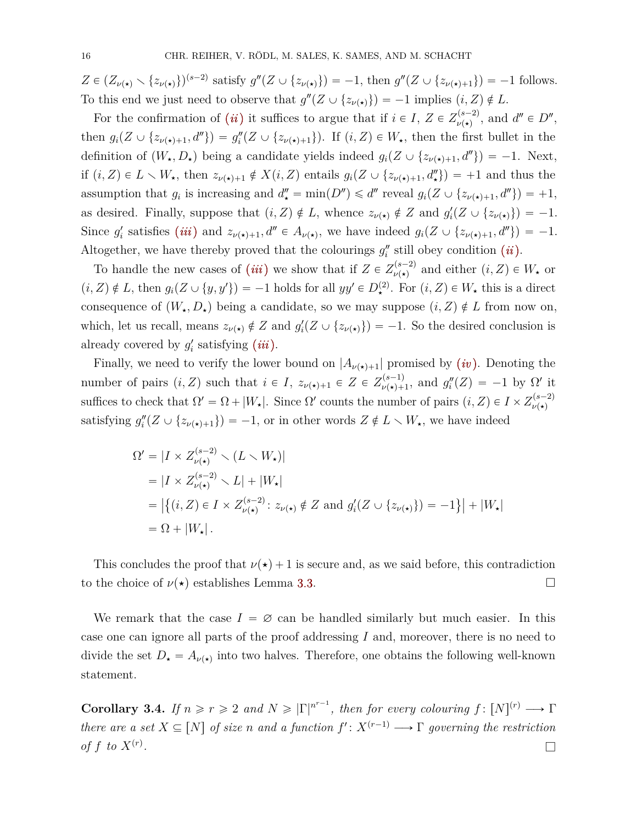$Z \in (Z_{\nu(\star)} \setminus \{z_{\nu(\star)}\})^{(s-2)}$  satisfy  $g''(Z \cup \{z_{\nu(\star)}\}) = -1$ , then  $g''(Z \cup \{z_{\nu(\star)+1}\}) = -1$  follows. To this end we just need to observe that  $g''(Z \cup \{z_{\nu(\star)}\}) = -1$  implies  $(i, Z) \notin L$ .

For the confirmation of *([ii](#page-12-2))* it suffices to argue that if  $i \in I$ ,  $Z \in Z_{\nu(\star)}^{(s-2)}$ , and  $d'' \in D''$ , then  $g_i(Z \cup \{z_{\nu(\star)+1}, d''\}) = g''_i(Z \cup \{z_{\nu(\star)+1}\})$ . If  $(i, Z) \in W_{\star}$ , then the first bullet in the definition of  $(W_{\star}, D_{\star})$  being a candidate yields indeed  $g_i(Z \cup \{z_{\nu(\star)+1}, d''\}) = -1$ . Next, if  $(i, Z) \in L \setminus W_{\star}$ , then  $z_{\nu(\star)+1} \notin X(i, Z)$  entails  $g_i(Z \cup \{z_{\nu(\star)+1}, d''_{\star}\}) = +1$  and thus the assumption that  $g_i$  is increasing and  $d''_* = \min(D'') \le d''$  reveal  $g_i(Z \cup \{z_{\nu(\star)+1}, d''\}) = +1$ , as desired. Finally, suppose that  $(i, Z) \notin L$ , whence  $z_{\nu(\star)} \notin Z$  and  $g_i'(Z \cup \{z_{\nu(\star)}\}) = -1$ . Since  $g'_i$  satisfies (*[iii](#page-12-4)*) and  $z_{\nu(\star)+1}$ ,  $d'' \in A_{\nu(\star)}$ , we have indeed  $g_i(Z \cup \{z_{\nu(\star)+1}, d''\}) = -1$ . Altogether, we have thereby proved that the colourings  $g''_i$  still obey condition (*[ii](#page-12-2)*).

To handle the new cases of *([iii](#page-12-4))* we show that if  $Z \in Z_{\nu(\star)}^{(s-2)}$  and either  $(i, Z) \in W_{\star}$  or  $(i, Z) \notin L$ , then  $g_i(Z \cup \{y, y'\}) = -1$  holds for all  $yy' \in D_{\star}^{(2)}$ . For  $(i, Z) \in W_{\star}$  this is a direct consequence of  $(W_{\star}, D_{\star})$  being a candidate, so we may suppose  $(i, Z) \notin L$  from now on, which, let us recall, means  $z_{\nu(\star)} \notin Z$  and  $g_i'(Z \cup \{z_{\nu(\star)}\}) = -1$ . So the desired conclusion is already covered by  $g'_{i}$  satisfying  $(iii)$  $(iii)$  $(iii)$ .

Finally, we need to verify the lower bound on  $|A_{\nu(\star)+1}|$  promised by *([iv](#page-12-3))*. Denoting the number of pairs  $(i, Z)$  such that  $i \in I$ ,  $z_{\nu(\star)+1} \in Z \in Z_{\nu(\star)+}^{(s-1)}$  $y_{\nu(\star)+1}^{(s-1)}$ , and  $g_i''(Z) = -1$  by  $\Omega'$  it suffices to check that  $\Omega' = \Omega + |W_{\star}|$ . Since  $\Omega'$  counts the number of pairs  $(i, Z) \in I \times Z_{\nu(\star)}^{(s-2)}$  $\nu(\star)$ satisfying  $g''_i(Z \cup \{z_{\nu(\star)+1}\}) = -1$ , or in other words  $Z \notin L \setminus W_{\star}$ , we have indeed

$$
\Omega' = |I \times Z_{\nu(\star)}^{(s-2)} \setminus (L \setminus W_{\star})|
$$
  
\n
$$
= |I \times Z_{\nu(\star)}^{(s-2)} \setminus L| + |W_{\star}|
$$
  
\n
$$
= |\{(i, Z) \in I \times Z_{\nu(\star)}^{(s-2)} : z_{\nu(\star)} \notin Z \text{ and } g_i'(Z \cup \{z_{\nu(\star)}\}) = -1\}| + |W_{\star}|
$$
  
\n
$$
= \Omega + |W_{\star}|.
$$

This concludes the proof that  $\nu(\star) + 1$  is secure and, as we said before, this contradiction to the choice of  $\nu(\star)$  establishes Lemma [3.3.](#page-12-0)

We remark that the case  $I = \emptyset$  can be handled similarly but much easier. In this case one can ignore all parts of the proof addressing *I* and, moreover, there is no need to divide the set  $D_{\star} = A_{\nu(\star)}$  into two halves. Therefore, one obtains the following well-known statement.

<span id="page-15-0"></span>**Corollary 3.4.** *If*  $n \ge r \ge 2$  *and*  $N \ge |\Gamma|^{n^{r-1}}$ , *then for every colouring*  $f: [N]^{(r)} \longrightarrow \Gamma$ *there are a set*  $X \subseteq [N]$  *of size n and a function*  $f' : X^{(r-1)} \longrightarrow \Gamma$  governing the restriction *of*  $f$  *to*  $X^{(r)}$ *. .* l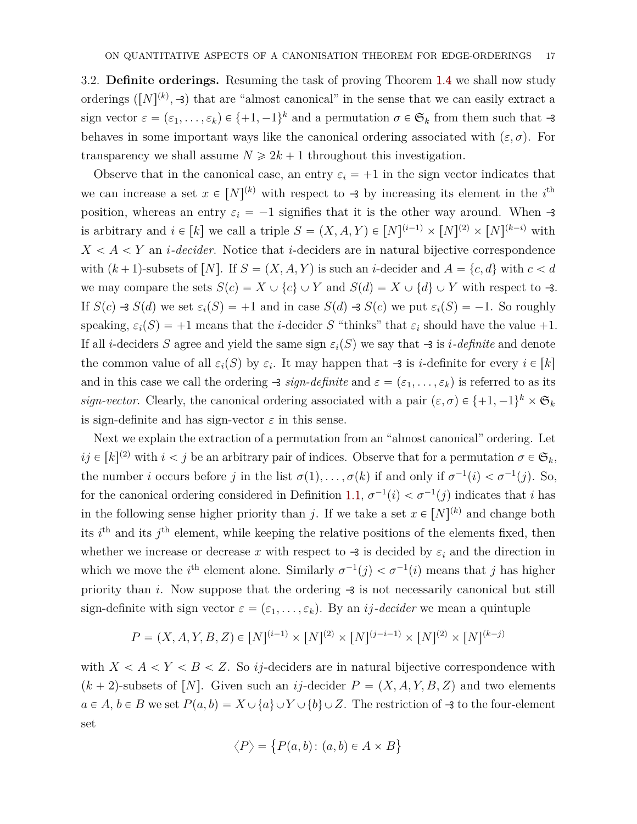<span id="page-16-0"></span>3.2. **Definite orderings.** Resuming the task of proving Theorem [1.4](#page-3-1) we shall now study orderings  $([N]^{(k)}, \rightarrow)$  that are "almost canonical" in the sense that we can easily extract a sign vector  $\varepsilon = (\varepsilon_1, \ldots, \varepsilon_k) \in \{+1, -1\}^k$  and a permutation  $\sigma \in \mathfrak{S}_k$  from them such that  $-3$ behaves in some important ways like the canonical ordering associated with  $(\varepsilon, \sigma)$ . For transparency we shall assume  $N \ge 2k + 1$  throughout this investigation.

Observe that in the canonical case, an entry  $\varepsilon_i = +1$  in the sign vector indicates that we can increase a set  $x \in [N]^{(k)}$  with respect to  $\rightarrow$  by increasing its element in the *i*<sup>th</sup> position, whereas an entry  $\varepsilon_i = -1$  signifies that it is the other way around. When  $-3$ is arbitrary and  $i \in [k]$  we call a triple  $S = (X, A, Y) \in [N]^{(i-1)} \times [N]^{(2)} \times [N]^{(k-i)}$  with  $X < A < Y$  an *i*-decider. Notice that *i*-deciders are in natural bijective correspondence with  $(k+1)$ -subsets of  $[N]$ . If  $S = (X, A, Y)$  is such an *i*-decider and  $A = \{c, d\}$  with  $c < d$ we may compare the sets  $S(c) = X \cup \{c\} \cup Y$  and  $S(d) = X \cup \{d\} \cup Y$  with respect to  $-3$ . If  $S(c) \rightarrow S(d)$  we set  $\varepsilon_i(S) = +1$  and in case  $S(d) \rightarrow S(c)$  we put  $\varepsilon_i(S) = -1$ . So roughly speaking,  $\varepsilon_i(S) = +1$  means that the *i*-decider *S* "thinks" that  $\varepsilon_i$  should have the value +1. If all *i*-deciders *S* agree and yield the same sign  $\varepsilon_i(S)$  we say that  $\rightarrow$  is *i-definite* and denote the common value of all  $\varepsilon_i(S)$  by  $\varepsilon_i$ . It may happen that  $\exists$  is *i*-definite for every  $i \in [k]$ and in this case we call the ordering  $\rightarrow$  *sign-definite* and  $\varepsilon = (\varepsilon_1, \dots, \varepsilon_k)$  is referred to as its *sign-vector.* Clearly, the canonical ordering associated with a pair  $(\varepsilon, \sigma) \in \{+1, -1\}^k \times \mathfrak{S}_k$ is sign-definite and has sign-vector  $\varepsilon$  in this sense.

Next we explain the extraction of a permutation from an "almost canonical" ordering. Let  $ij \in [k]^{(2)}$  with  $i < j$  be an arbitrary pair of indices. Observe that for a permutation  $\sigma \in \mathfrak{S}_k$ , the number *i* occurs before *j* in the list  $\sigma(1), \ldots, \sigma(k)$  if and only if  $\sigma^{-1}(i) < \sigma^{-1}(j)$ . So, for the canonical ordering considered in Definition [1.1,](#page-1-0)  $\sigma^{-1}(i) < \sigma^{-1}(j)$  indicates that *i* has in the following sense higher priority than *j*. If we take a set  $x \in [N]^{(k)}$  and change both its  $i^{\text{th}}$  and its  $j^{\text{th}}$  element, while keeping the relative positions of the elements fixed, then whether we increase or decrease x with respect to  $\triangleleft$  is decided by  $\varepsilon_i$  and the direction in which we move the *i*<sup>th</sup> element alone. Similarly  $\sigma^{-1}(j) < \sigma^{-1}(i)$  means that *j* has higher priority than *i*. Now suppose that the ordering  $\rightarrow$  is not necessarily canonical but still sign-definite with sign vector  $\varepsilon = (\varepsilon_1, \ldots, \varepsilon_k)$ . By an *ij-decider* we mean a quintuple

$$
P = (X, A, Y, B, Z) \in [N]^{(i-1)} \times [N]^{(2)} \times [N]^{(j-i-1)} \times [N]^{(2)} \times [N]^{(k-j)}
$$

with  $X < A < Y < B < Z$ . So *ij*-deciders are in natural bijective correspondence with  $(k+2)$ -subsets of [*N*]. Given such an *ij*-decider  $P = (X, A, Y, B, Z)$  and two elements  $a \in A, b \in B$  we set  $P(a, b) = X \cup \{a\} \cup Y \cup \{b\} \cup Z$ . The restriction of  $\prec$  to the four-element set (

$$
\langle P \rangle = \{ P(a, b) \colon (a, b) \in A \times B \}
$$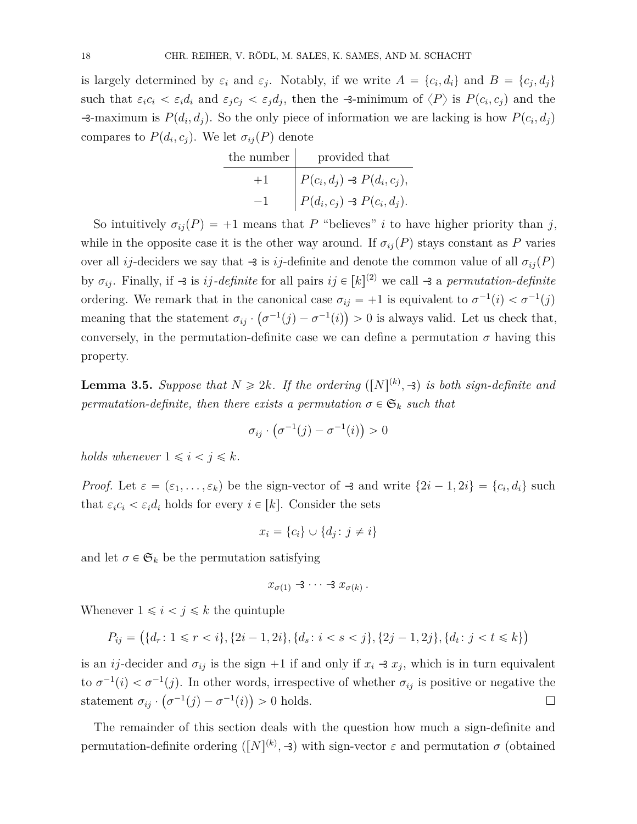is largely determined by  $\varepsilon_i$  and  $\varepsilon_j$ . Notably, if we write  $A = \{c_i, d_i\}$  and  $B = \{c_j, d_j\}$ such that  $\varepsilon_i c_i < \varepsilon_i d_i$  and  $\varepsilon_j c_j < \varepsilon_j d_j$ , then the -3-minimum of  $\langle P \rangle$  is  $P(c_i, c_j)$  and the  $\rightarrow$  -maximum is  $P(d_i, d_j)$ . So the only piece of information we are lacking is how  $P(c_i, d_j)$ compares to  $P(d_i, c_j)$ . We let  $\sigma_{ij}(P)$  denote

| the number | provided that                                |
|------------|----------------------------------------------|
| $+1$       | $\big  P(c_i, d_j) \rightarrow P(d_i, c_j),$ |
|            | $\big  P(d_i, c_j) \rightarrow P(c_i, d_j).$ |

So intuitively  $\sigma_{ij}(P) = +1$  means that *P* "believes" *i* to have higher priority than *j*, while in the opposite case it is the other way around. If  $\sigma_{ij}(P)$  stays constant as P varies over all *ij*-deciders we say that  $\rightarrow$  is *ij*-definite and denote the common value of all  $\sigma_{ij}(P)$ by  $\sigma_{ij}$ . Finally, if  $\rightarrow$  is *ij*-definite for all pairs  $ij \in [k]^{(2)}$  we call  $\rightarrow$  a *permutation-definite* ordering. We remark that in the canonical case  $\sigma_{ij} = +1$  is equivalent to  $\sigma^{-1}(i) < \sigma^{-1}(j)$ meaning that the statement  $\sigma_{ij} \cdot (\sigma^{-1}(j) - \sigma^{-1}(i)) > 0$  is always valid. Let us check that, conversely, in the permutation-definite case we can define a permutation  $\sigma$  having this property.

<span id="page-17-0"></span>**Lemma 3.5.** *Suppose that*  $N \ge 2k$ *. If the ordering*  $([N]^{(k)}, \exists)$  *is both sign-definite and permutation-definite, then there exists a permutation*  $\sigma \in \mathfrak{S}_k$  *such that* 

$$
\sigma_{ij} \cdot \left( \sigma^{-1}(j) - \sigma^{-1}(i) \right) > 0
$$

*holds whenever*  $1 \leq i \leq j \leq k$ *.* 

*Proof.* Let  $\varepsilon = (\varepsilon_1, \ldots, \varepsilon_k)$  be the sign-vector of  $\rightarrow$  and write  $\{2i - 1, 2i\} = \{c_i, d_i\}$  such that  $\varepsilon_i c_i < \varepsilon_i d_i$  holds for every  $i \in [k]$ . Consider the sets

$$
x_i = \{c_i\} \cup \{d_j : j \neq i\}
$$

and let  $\sigma \in \mathfrak{S}_k$  be the permutation satisfying

$$
x_{\sigma(1)}\prec 3\cdots\prec x_{\sigma(k)}.
$$

Whenever  $1 \leq i < j \leq k$  the quintuple

$$
P_{ij} = (\{d_r : 1 \le r < i\}, \{2i - 1, 2i\}, \{d_s : i < s < j\}, \{2j - 1, 2j\}, \{d_t : j < t \le k\})
$$

is an *ij*-decider and  $\sigma_{ij}$  is the sign +1 if and only if  $x_i \rightarrow x_j$ , which is in turn equivalent to  $\sigma^{-1}(i) < \sigma^{-1}(j)$ . In other words, irrespective of whether  $\sigma_{ij}$  is positive or negative the statement  $\sigma_{ij} \cdot (\sigma^{-1}(j) - \sigma^{-1}(i)) > 0$  holds.

The remainder of this section deals with the question how much a sign-definite and permutation-definite ordering  $([N]^{(k)}, \rightarrow)$  with sign-vector  $\varepsilon$  and permutation  $\sigma$  (obtained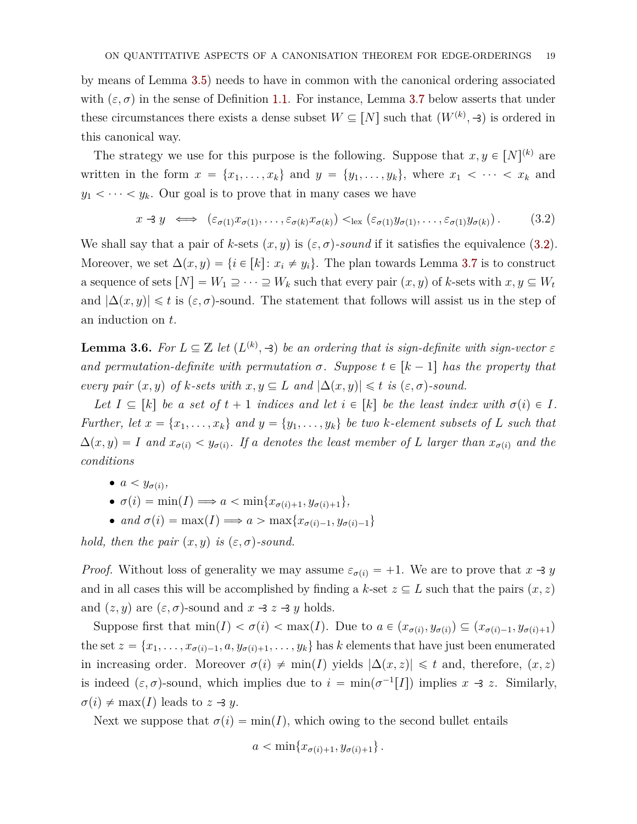by means of Lemma [3.5\)](#page-17-0) needs to have in common with the canonical ordering associated with  $(\varepsilon, \sigma)$  in the sense of Definition [1.1.](#page-1-0) For instance, Lemma [3.7](#page-19-0) below asserts that under these circumstances there exists a dense subset  $W \subseteq [N]$  such that  $(W^{(k)}, \exists)$  is ordered in this canonical way.

The strategy we use for this purpose is the following. Suppose that  $x, y \in [N]^{(k)}$  are written in the form  $x = \{x_1, \ldots, x_k\}$  and  $y = \{y_1, \ldots, y_k\}$ , where  $x_1 < \cdots < x_k$  and  $y_1 < \cdots < y_k$ . Our goal is to prove that in many cases we have

<span id="page-18-0"></span>
$$
x \rightarrow y \iff (\varepsilon_{\sigma(1)} x_{\sigma(1)}, \dots, \varepsilon_{\sigma(k)} x_{\sigma(k)}) <_{\text{lex}} (\varepsilon_{\sigma(1)} y_{\sigma(1)}, \dots, \varepsilon_{\sigma(1)} y_{\sigma(k)}). \tag{3.2}
$$

We shall say that a pair of *k*-sets  $(x, y)$  is  $(\varepsilon, \sigma)$ -sound if it satisfies the equivalence [\(3.2\)](#page-18-0). Moreover, we set  $\Delta(x, y) = \{i \in [k]: x_i \neq y_i\}$ . The plan towards Lemma [3.7](#page-19-0) is to construct a sequence of sets  $[N] = W_1 \supseteq \cdots \supseteq W_k$  such that every pair  $(x, y)$  of *k*-sets with  $x, y \subseteq W_t$ and  $|\Delta(x, y)| \leq t$  is  $(\varepsilon, \sigma)$ -sound. The statement that follows will assist us in the step of an induction on *t*.

<span id="page-18-1"></span>**Lemma 3.6.** For  $L \subseteq \mathbb{Z}$  let  $(L^{(k)}, \mathcal{A})$  be an ordering that is sign-definite with sign-vector  $\varepsilon$ *and permutation-definite with permutation*  $\sigma$ *. Suppose*  $t \in [k-1]$  *has the property that every pair*  $(x, y)$  *of k-sets with*  $x, y \subseteq L$  *and*  $|\Delta(x, y)| \leq t$  *is*  $(\varepsilon, \sigma)$ *-sound.* 

*Let*  $I \subseteq [k]$  *be a set of*  $t + 1$  *indices and let*  $i \in [k]$  *be the least index with*  $\sigma(i) \in I$ *. Further, let*  $x = \{x_1, \ldots, x_k\}$  and  $y = \{y_1, \ldots, y_k\}$  be two *k*-element subsets of *L* such that  $\Delta(x, y) = I$  and  $x_{\sigma(i)} < y_{\sigma(i)}$ . If a denotes the least member of *L* larger than  $x_{\sigma(i)}$  and the *conditions*

- $a < y_{\sigma(i)},$
- $\bullet \ \sigma(i) = \min(I) \Longrightarrow a < \min\{x_{\sigma(i)+1}, y_{\sigma(i)+1}\},$
- *and*  $\sigma(i) = \max(I) \Longrightarrow a > \max\{x_{\sigma(i)-1}, y_{\sigma(i)-1}\}\$

*hold, then the pair*  $(x, y)$  *is*  $(\varepsilon, \sigma)$ -sound.

*Proof.* Without loss of generality we may assume  $\varepsilon_{\sigma(i)} = +1$ . We are to prove that  $x \rightarrow y$ and in all cases this will be accomplished by finding a  $k$ -set  $z \subseteq L$  such that the pairs  $(x, z)$ and  $(z, y)$  are  $(\varepsilon, \sigma)$ -sound and  $x \prec z \prec y$  holds.

Suppose first that  $\min(I) < \sigma(i) < \max(I)$ . Due to  $a \in (x_{\sigma(i)}, y_{\sigma(i)}) \subseteq (x_{\sigma(i)-1}, y_{\sigma(i)+1})$ the set  $z = \{x_1, \ldots, x_{\sigma(i)-1}, a, y_{\sigma(i)+1}, \ldots, y_k\}$  has *k* elements that have just been enumerated in increasing order. Moreover  $\sigma(i) \neq \min(I)$  yields  $|\Delta(x, z)| \leq t$  and, therefore,  $(x, z)$ is indeed  $(\varepsilon, \sigma)$ -sound, which implies due to  $i = \min(\sigma^{-1}[I])$  implies  $x \to z$ . Similarly,  $\sigma(i) \neq \max(I)$  leads to  $z \exists y$ .

Next we suppose that  $\sigma(i) = \min(I)$ , which owing to the second bullet entails

$$
a < \min\{x_{\sigma(i)+1}, y_{\sigma(i)+1}\}\,.
$$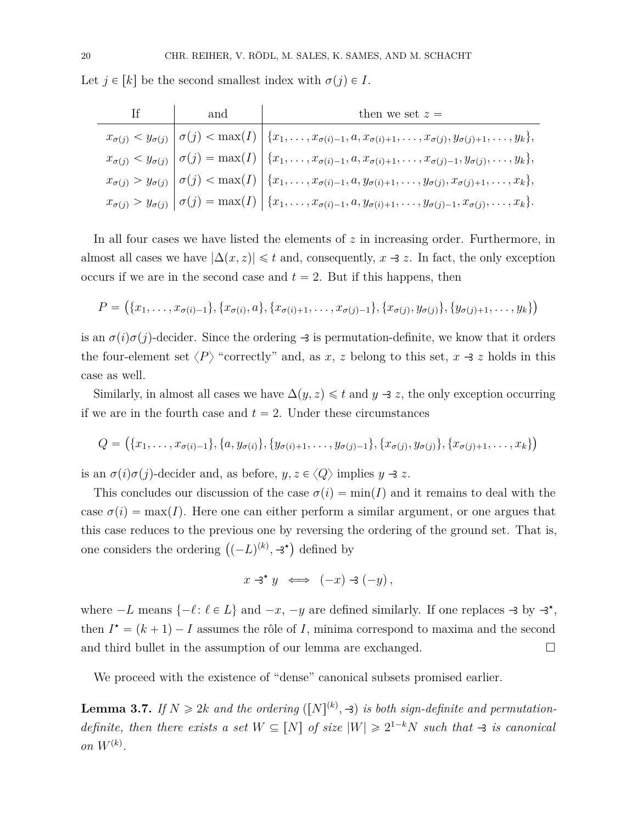Let  $j \in [k]$  be the second smallest index with  $\sigma(j) \in I$ .

| and | then we set $z =$                                                                                                                                                         |
|-----|---------------------------------------------------------------------------------------------------------------------------------------------------------------------------|
|     | $x_{\sigma(j)} < y_{\sigma(j)} \mid \sigma(j) < \max(I) \mid \{x_1, \ldots, x_{\sigma(i)-1}, a, x_{\sigma(i)+1}, \ldots, x_{\sigma(j)}, y_{\sigma(j)+1}, \ldots, y_k\},\$ |
|     | $x_{\sigma(j)} < y_{\sigma(j)}   \sigma(j) = \max(I)   \{x_1, \ldots, x_{\sigma(i)-1}, a, x_{\sigma(i)+1}, \ldots, x_{\sigma(j)-1}, y_{\sigma(j)}, \ldots, y_k\},\$       |
|     | $x_{\sigma(j)} > y_{\sigma(j)} \mid \sigma(j) < \max(I) \mid \{x_1, \ldots, x_{\sigma(i)-1}, a, y_{\sigma(i)+1}, \ldots, y_{\sigma(j)}, x_{\sigma(j)+1}, \ldots, x_k\},\$ |
|     | $x_{\sigma(j)} > y_{\sigma(j)}   \sigma(j) = \max(I)   \{x_1, \ldots, x_{\sigma(i)-1}, a, y_{\sigma(i)+1}, \ldots, y_{\sigma(j)-1}, x_{\sigma(j)}, \ldots, x_k\}.$        |

In all four cases we have listed the elements of *z* in increasing order. Furthermore, in almost all cases we have  $|\Delta(x, z)| \leq t$  and, consequently,  $x \rightarrow z$ . In fact, the only exception occurs if we are in the second case and  $t = 2$ . But if this happens, then

$$
P = (\{x_1, \ldots, x_{\sigma(i)-1}\}, \{x_{\sigma(i)}, a\}, \{x_{\sigma(i)+1}, \ldots, x_{\sigma(j)-1}\}, \{x_{\sigma(j)}, y_{\sigma(j)}\}, \{y_{\sigma(j)+1}, \ldots, y_k\})
$$

is an  $\sigma(i)\sigma(j)$ -decider. Since the ordering  $-3$  is permutation-definite, we know that it orders the four-element set  $\langle P \rangle$  "correctly" and, as *x*, *z* belong to this set, *x* -3 *z* holds in this case as well.

Similarly, in almost all cases we have  $\Delta(y, z) \leq t$  and  $y \rightarrow z$ , the only exception occurring if we are in the fourth case and  $t = 2$ . Under these circumstances

$$
Q = (\{x_1, \ldots, x_{\sigma(i)-1}\}, \{a, y_{\sigma(i)}\}, \{y_{\sigma(i)+1}, \ldots, y_{\sigma(j)-1}\}, \{x_{\sigma(j)}, y_{\sigma(j)}\}, \{x_{\sigma(j)+1}, \ldots, x_k\})
$$

is an  $\sigma(i)\sigma(j)$ -decider and, as before,  $y, z \in \langle Q \rangle$  implies  $y \rightarrow z$ .

This concludes our discussion of the case  $\sigma(i) = \min(I)$  and it remains to deal with the case  $\sigma(i) = \max(I)$ . Here one can either perform a similar argument, or one argues that this case reduces to the previous one by reversing the ordering of the ground set. That is, one considers the ordering  $((-L)^{(k)}, \exists^{\star})$  defined by

$$
x \triangleleft^{\star} y \iff (-x) \triangleleft (-y),
$$

where  $-L$  means  $\{-\ell : \ell \in L\}$  and  $-x$ ,  $-y$  are defined similarly. If one replaces  $\exists$  by  $\exists^*$ , then  $I^* = (k+1) - I$  assumes the rôle of *I*, minima correspond to maxima and the second and third bullet in the assumption of our lemma are exchanged.  $\Box$ 

We proceed with the existence of "dense" canonical subsets promised earlier.

<span id="page-19-0"></span>**Lemma 3.7.** *If*  $N \geq 2k$  *and the ordering* ([N]<sup>(k)</sup>, -3) *is both sign-definite and permutationdefinite, then there exists a set*  $W \subseteq [N]$  *of size*  $|W| \geq 2^{1-k}N$  *such that*  $\rightarrow$  *is canonical on*  $W^{(k)}$ .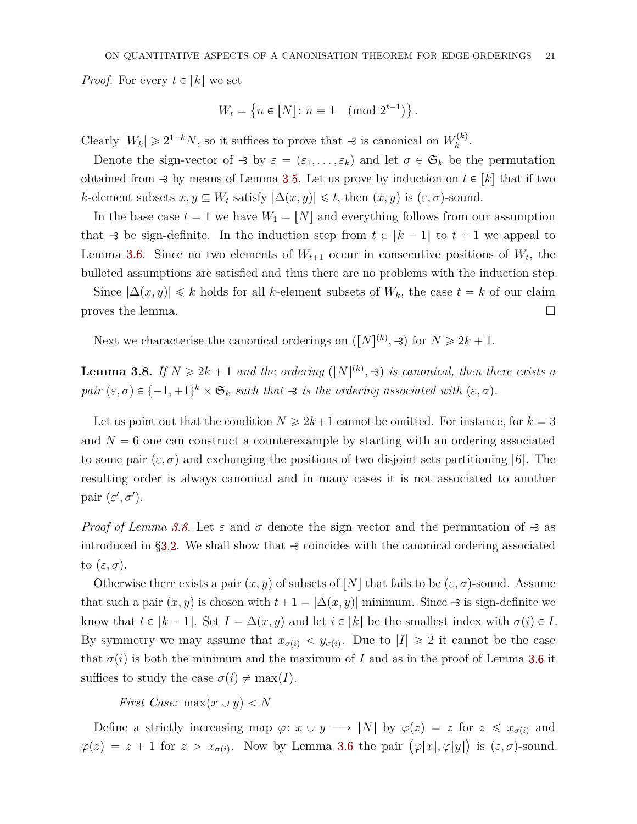*Proof.* For every  $t \in [k]$  we set

$$
W_t = \{ n \in [N] \colon n \equiv 1 \pmod{2^{t-1}} \}.
$$

Clearly  $|W_k| \ge 2^{1-k}N$ , so it suffices to prove that  $\rightarrow$  is canonical on  $W_k^{(k)}$ *k* .

Denote the sign-vector of  $\exists$  by  $\varepsilon = (\varepsilon_1, \ldots, \varepsilon_k)$  and let  $\sigma \in \mathfrak{S}_k$  be the permutation obtained from  $-3$  by means of Lemma [3.5.](#page-17-0) Let us prove by induction on  $t \in [k]$  that if two *k*-element subsets  $x, y \subseteq W_t$  satisfy  $|\Delta(x, y)| \leq t$ , then  $(x, y)$  is  $(\varepsilon, \sigma)$ -sound.

In the base case  $t = 1$  we have  $W_1 = [N]$  and everything follows from our assumption that  $\rightarrow$  be sign-definite. In the induction step from  $t \in [k-1]$  to  $t+1$  we appeal to Lemma [3.6.](#page-18-1) Since no two elements of  $W_{t+1}$  occur in consecutive positions of  $W_t$ , the bulleted assumptions are satisfied and thus there are no problems with the induction step.

Since  $|\Delta(x, y)| \le k$  holds for all *k*-element subsets of  $W_k$ , the case  $t = k$  of our claim proves the lemma.  $\Box$ 

Next we characterise the canonical orderings on  $([N]^{(k)}, \exists)$  for  $N \ge 2k + 1$ .

<span id="page-20-0"></span>**Lemma 3.8.** If  $N \geq 2k + 1$  and the ordering  $([N]^{(k)}, \exists)$  is canonical, then there exists a *pair*  $(\varepsilon, \sigma) \in \{-1, +1\}^k \times \mathfrak{S}_k$  *such that*  $\rightarrow$  *is the ordering associated with*  $(\varepsilon, \sigma)$ *.* 

Let us point out that the condition  $N \ge 2k+1$  cannot be omitted. For instance, for  $k = 3$ and  $N = 6$  one can construct a counterexample by starting with an ordering associated to some pair  $(\varepsilon, \sigma)$  and exchanging the positions of two disjoint sets partitioning [6]. The resulting order is always canonical and in many cases it is not associated to another pair  $(\varepsilon', \sigma')$ .

*Proof of Lemma [3.8.](#page-20-0)* Let  $\varepsilon$  and  $\sigma$  denote the sign vector and the permutation of  $-\frac{2}{3}$  as introduced in [§3.2.](#page-16-0) We shall show that  $\rightarrow$  coincides with the canonical ordering associated to  $(\varepsilon, \sigma)$ .

Otherwise there exists a pair  $(x, y)$  of subsets of  $[N]$  that fails to be  $(\varepsilon, \sigma)$ -sound. Assume that such a pair  $(x, y)$  is chosen with  $t + 1 = |\Delta(x, y)|$  minimum. Since  $\rightarrow$  is sign-definite we know that  $t \in [k-1]$ . Set  $I = \Delta(x, y)$  and let  $i \in [k]$  be the smallest index with  $\sigma(i) \in I$ . By symmetry we may assume that  $x_{\sigma(i)} < y_{\sigma(i)}$ . Due to  $|I| \geq 2$  it cannot be the case that  $\sigma(i)$  is both the minimum and the maximum of *I* and as in the proof of Lemma [3.6](#page-18-1) it suffices to study the case  $\sigma(i) \neq \max(I)$ .

*First Case:*  $max(x \cup y) < N$ 

Define a strictly increasing map  $\varphi: x \cup y \longrightarrow [N]$  by  $\varphi(z) = z$  for  $z \leq x_{\sigma(i)}$  and  $\varphi(z) = z + 1$  *for*  $z > x_{\sigma(i)}$ . Now by Lemma [3.6](#page-18-1) the pair  $(\varphi[x], \varphi[y])$  is  $(\varepsilon, \sigma)$ -sound.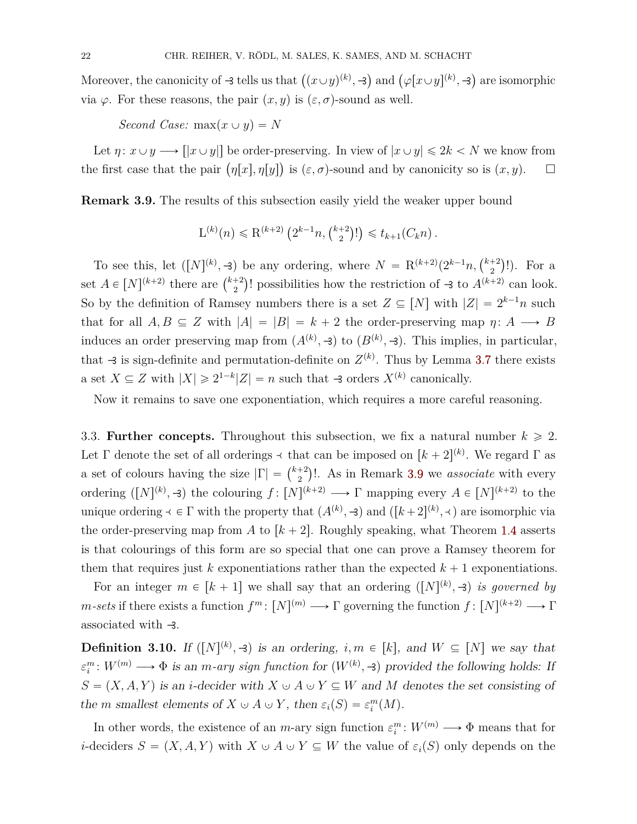Moreover, the canonicity of  $\rightarrow$  tells us that  $((x \cup y)^{(k)}, \rightarrow)$ ) and  $(\varphi[x \cup y]^{(k)}, \exists$ are isomorphic via  $\varphi$ . For these reasons, the pair  $(x, y)$  is  $(\varepsilon, \sigma)$ -sound as well.

*Second Case:*  $max(x \cup y) = N$ 

Let  $\eta: x \cup y \longrightarrow [|x \cup y|]$  be order-preserving. In view of  $|x \cup y| \leq 2k < N$  we know from Let  $\eta: x \cup y \longrightarrow [x \cup y]$  be order-preserving. In view or  $|x \cup y| \le 2\kappa < N$  we know from<br>the first case that the pair  $(\eta[x], \eta[y])$  is  $(\varepsilon, \sigma)$ -sound and by canonicity so is  $(x, y)$ .

<span id="page-21-0"></span>**Remark 3.9.** The results of this subsection easily yield the weaker upper bound

$$
L^{(k)}(n) \le R^{(k+2)}\left(2^{k-1}n, \binom{k+2}{2}!\right) \le t_{k+1}(C_k n).
$$

To see this, let  $([N]^{(k)}, \exists)$  be any ordering, where  $N = \mathbb{R}^{(k+2)}(2^{k-1}n, \binom{k+2}{2}$ 2 be any ordering, where  $N = R^{(k+2)}(2^{k-1}n, {\binom{k+2}{2}}!)$ . For a set  $A \in [N]^{(k+2)}$  there are  $\binom{k+2}{2}$  $\binom{+2}{2}$ ! possibilities how the restriction of  $\rightarrow$  to  $A^{(k+2)}$  can look. So by the definition of Ramsey numbers there is a set  $Z \subseteq [N]$  with  $|Z| = 2^{k-1}n$  such that for all  $A, B \subseteq Z$  with  $|A| = |B| = k + 2$  the order-preserving map  $\eta: A \longrightarrow B$ induces an order preserving map from  $(A^{(k)}, \exists)$  to  $(B^{(k)}, \exists)$ . This implies, in particular, that  $\rightarrow$  is sign-definite and permutation-definite on  $Z^{(k)}$ . Thus by Lemma [3.7](#page-19-0) there exists a set  $X \subseteq Z$  with  $|X| \ge 2^{1-k} |Z| = n$  such that  $\prec$  orders  $X^{(k)}$  canonically.

Now it remains to save one exponentiation, which requires a more careful reasoning.

3.3. **Further concepts.** Throughout this subsection, we fix a natural number  $k \ge 2$ . Let  $\Gamma$  denote the set of all orderings  $\prec$  that can be imposed on  $[k+2]^{(k)}$ . We regard  $\Gamma$  as Let 1 denote the set of an orderings  $\rightarrow$  that<br>a set of colours having the size  $|\Gamma| = \binom{k+2}{2}$  $\binom{+2}{2}$ !. As in Remark [3.9](#page-21-0) we *associate* with every ordering  $([N]^{(k)}, \mathcal{F})$  the colouring  $f: [N]^{(k+2)} \longrightarrow \Gamma$  mapping every  $A \in [N]^{(k+2)}$  to the unique ordering  $\prec \in \Gamma$  with the property that  $(A^{(k)}, \rightarrow)$  and  $([k+2]^{(k)}, \prec)$  are isomorphic via the order-preserving map from A to  $k + 2$ . Roughly speaking, what Theorem [1.4](#page-3-1) asserts is that colourings of this form are so special that one can prove a Ramsey theorem for them that requires just  $k$  exponentiations rather than the expected  $k + 1$  exponentiations.

For an integer  $m \in [k+1]$  we shall say that an ordering  $([N]^{(k)}, \exists)$  *is governed by m*-sets if there exists a function  $f^m: [N]^{(m)} \longrightarrow \Gamma$  governing the function  $f: [N]^{(k+2)} \longrightarrow \Gamma$ associated with  $\rightarrow$ .

**Definition 3.10.** If  $([N]^{(k)}, \rightarrow)$  is an ordering,  $i, m \in [k]$ , and  $W \subseteq [N]$  we say that  $\varepsilon_i^m: W^{(m)} \longrightarrow \Phi$  is an *m-ary sign function* for  $(W^{(k)}, \exists)$  provided the following holds: If  $S = (X, A, Y)$  is an *i*-decider with  $X \cup A \cup Y \subseteq W$  and M denotes the set consisting of the *m* smallest elements of  $X \cup A \cup Y$ , then  $\varepsilon_i(S) = \varepsilon_i^m(M)$ .

In other words, the existence of an *m*-ary sign function  $\varepsilon_i^m: W^{(m)} \longrightarrow \Phi$  means that for *i*-deciders  $S = (X, A, Y)$  with  $X \cup A \cup Y \subseteq W$  the value of  $\varepsilon_i(S)$  only depends on the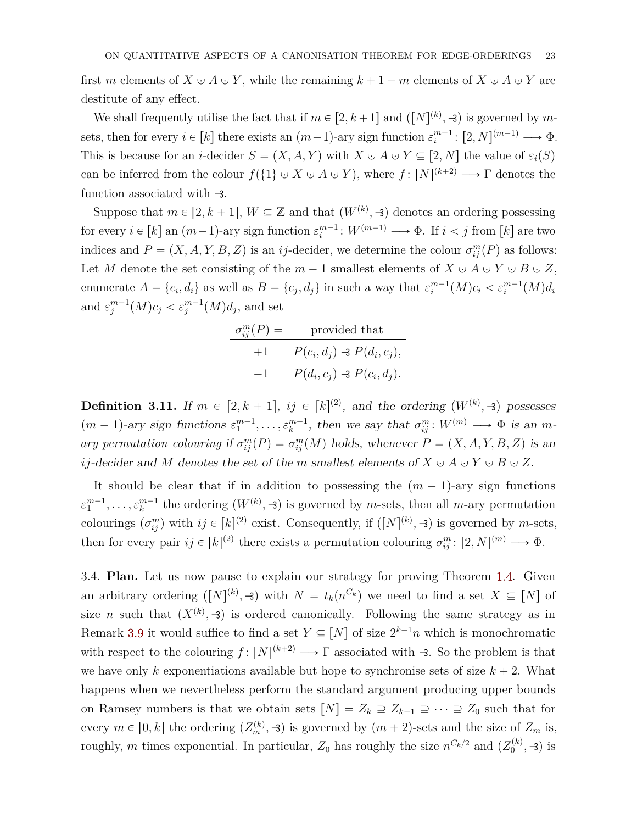first *m* elements of  $X \cup A \cup Y$ , while the remaining  $k + 1 - m$  elements of  $X \cup A \cup Y$  are destitute of any effect.

We shall frequently utilise the fact that if  $m \in [2, k+1]$  and  $([N]^{(k)}, \rightarrow)$  is governed by  $m$ sets, then for every  $i \in [k]$  there exists an  $(m-1)$ -ary sign function  $\varepsilon_i^{m-1}$ :  $[2, N]^{(m-1)} \longrightarrow \Phi$ . This is because for an *i*-decider  $S = (X, A, Y)$  with  $X \cup A \cup Y \subseteq [2, N]$  the value of  $\varepsilon_i(S)$ can be inferred from the colour  $f({i \in \mathbb{N} \cup A \cup Y})$ , where  $f: [N]^{(k+2)} \longrightarrow \Gamma$  denotes the function associated with  $\rightarrow$ .

Suppose that  $m \in [2, k+1]$ ,  $W \subseteq \mathbb{Z}$  and that  $(W^{(k)}, \mathcal{A})$  denotes an ordering possessing for every  $i \in [k]$  an  $(m-1)$ -ary sign function  $\varepsilon_i^{m-1}$ :  $W^{(m-1)} \longrightarrow \Phi$ . If  $i < j$  from  $[k]$  are two indices and  $P = (X, A, Y, B, Z)$  is an *ij*-decider, we determine the colour  $\sigma_{ij}^m(P)$  as follows: Let *M* denote the set consisting of the  $m-1$  smallest elements of  $X \cup A \cup Y \cup B \cup Z$ , enumerate  $A = \{c_i, d_i\}$  as well as  $B = \{c_j, d_j\}$  in such a way that  $\varepsilon_i^{m-1}(M)c_i < \varepsilon_i^{m-1}(M)d_i$ and  $\varepsilon_j^{m-1}(M)c_j < \varepsilon_j^{m-1}(M)d_j$ , and set

$$
\sigma_{ij}^{m}(P) = \text{provided that}
$$
  
+1 
$$
P(c_i, d_j) \rightarrow P(d_i, c_j),
$$
  
-1 
$$
P(d_i, c_j) \rightarrow P(c_i, d_j).
$$

**Definition 3.11.** If  $m \in [2, k + 1]$ ,  $ij \in [k]^{(2)}$ , and the ordering  $(W^{(k)}, \exists)$  possesses  $(m-1)$ -ary sign functions  $\varepsilon_1^{m-1}, \ldots, \varepsilon_k^{m-1}$ , then we say that  $\sigma_{ij}^m : W^{(m)} \longrightarrow \Phi$  is an *mary permutation colouring* if  $\sigma_{ij}^m(P) = \sigma_{ij}^m(M)$  holds, whenever  $P = (X, A, Y, B, Z)$  is an *ij*-decider and *M* denotes the set of the *m* smallest elements of  $X \cup A \cup Y \cup B \cup Z$ .

It should be clear that if in addition to possessing the  $(m - 1)$ -ary sign functions  $\varepsilon_1^{m-1}, \ldots, \varepsilon_k^{m-1}$  the ordering  $(W^{(k)}, \mathcal{A})$  is governed by *m*-sets, then all *m*-ary permutation colourings  $(\sigma_{ij}^m)$  with  $ij \in [k]^{(2)}$  exist. Consequently, if  $([N]^{(k)}, \neg 3)$  is governed by *m*-sets, then for every pair  $ij \in [k]^{(2)}$  there exists a permutation colouring  $\sigma_{ij}^m : [2, N]^{(m)} \longrightarrow \Phi$ .

<span id="page-22-0"></span>3.4. **Plan.** Let us now pause to explain our strategy for proving Theorem [1.4.](#page-3-1) Given an arbitrary ordering  $([N]^{(k)}, \mathcal{A})$  with  $N = t_k(n^{C_k})$  we need to find a set  $X \subseteq [N]$  of size *n* such that  $(X^{(k)}, \mathcal{F})$  is ordered canonically. Following the same strategy as in Remark [3.9](#page-21-0) it would suffice to find a set  $Y \subseteq [N]$  of size  $2^{k-1}n$  which is monochromatic with respect to the colouring  $f: [N]^{(k+2)} \longrightarrow \Gamma$  associated with  $-3$ . So the problem is that we have only k exponentiations available but hope to synchronise sets of size  $k + 2$ . What happens when we nevertheless perform the standard argument producing upper bounds on Ramsey numbers is that we obtain sets  $[N] = Z_k \supseteq Z_{k-1} \supseteq \cdots \supseteq Z_0$  such that for every  $m \in [0, k]$  the ordering  $(Z_m^{(k)}, -3)$  is governed by  $(m + 2)$ -sets and the size of  $Z_m$  is, roughly, *m* times exponential. In particular,  $Z_0$  has roughly the size  $n^{C_k/2}$  and  $(Z_0^{(k)})$  $\binom{k}{0}$ , -3) is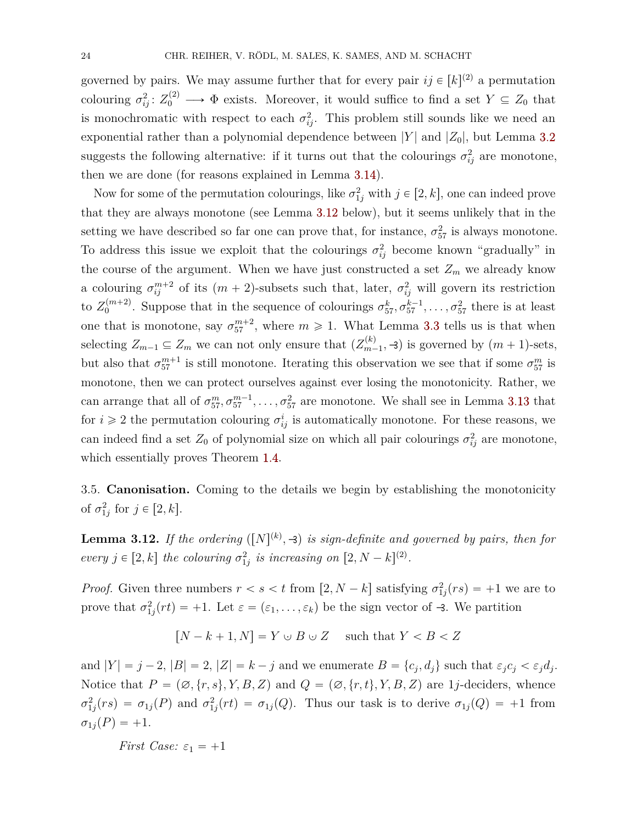governed by pairs. We may assume further that for every pair  $ij \in [k]^{(2)}$  a permutation colouring  $\sigma_{ij}^2: Z_0^{(2)} \longrightarrow \Phi$  exists. Moreover, it would suffice to find a set  $Y \subseteq Z_0$  that is monochromatic with respect to each  $\sigma_{ij}^2$ . This problem still sounds like we need an exponential rather than a polynomial dependence between  $|Y|$  and  $|Z_0|$ , but Lemma [3.2](#page-11-0) suggests the following alternative: if it turns out that the colourings  $\sigma_{ij}^2$  are monotone, then we are done (for reasons explained in Lemma [3.14\)](#page-24-0).

Now for some of the permutation colourings, like  $\sigma_{1j}^2$  with  $j \in [2, k]$ , one can indeed prove that they are always monotone (see Lemma [3.12](#page-23-0) below), but it seems unlikely that in the setting we have described so far one can prove that, for instance,  $\sigma_{57}^2$  is always monotone. To address this issue we exploit that the colourings  $\sigma_{ij}^2$  become known "gradually" in the course of the argument. When we have just constructed a set  $Z_m$  we already know a colouring  $\sigma_{ij}^{m+2}$  of its  $(m+2)$ -subsets such that, later,  $\sigma_{ij}^2$  will govern its restriction to  $Z_0^{(m+2)}$  $\sigma_{0}^{(m+2)}$ . Suppose that in the sequence of colourings  $\sigma_{57}^{k}, \sigma_{57}^{k-1}, \ldots, \sigma_{57}^{2}$  there is at least one that is monotone, say  $\sigma_{57}^{m+2}$ , where  $m \geq 1$ . What Lemma [3.3](#page-12-0) tells us is that when selecting  $Z_{m-1} \subseteq Z_m$  we can not only ensure that  $(Z_{m-1}^{(k)})$  $m-1$ ,  $\rightarrow$ ) is governed by  $(m + 1)$ -sets, but also that  $\sigma_{57}^{m+1}$  is still monotone. Iterating this observation we see that if some  $\sigma_{57}^m$  is monotone, then we can protect ourselves against ever losing the monotonicity. Rather, we can arrange that all of  $\sigma_{57}^m, \sigma_{57}^{m-1}, \ldots, \sigma_{57}^2$  are monotone. We shall see in Lemma [3.13](#page-24-1) that for  $i \geq 2$  the permutation colouring  $\sigma_{ij}^i$  is automatically monotone. For these reasons, we can indeed find a set  $Z_0$  of polynomial size on which all pair colourings  $\sigma_{ij}^2$  are monotone, which essentially proves Theorem [1.4.](#page-3-1)

3.5. **Canonisation.** Coming to the details we begin by establishing the monotonicity of  $\sigma_{1j}^2$  for  $j \in [2, k]$ .

<span id="page-23-0"></span>**Lemma 3.12.** If the ordering  $([N]^{(k)}, \mathcal{A})$  is sign-definite and governed by pairs, then for *every*  $j \in [2, k]$  *the colouring*  $\sigma_{1j}^2$  *is increasing* on  $[2, N - k]^{(2)}$ *.* 

*Proof.* Given three numbers  $r < s < t$  from  $[2, N - k]$  satisfying  $\sigma_{1j}^2(rs) = +1$  we are to prove that  $\sigma_{1j}^2(rt) = +1$ . Let  $\varepsilon = (\varepsilon_1, \ldots, \varepsilon_k)$  be the sign vector of  $-3$ . We partition

$$
[N - k + 1, N] = Y \cup B \cup Z \quad \text{such that } Y < B < Z
$$

and  $|Y| = j - 2$ ,  $|B| = 2$ ,  $|Z| = k - j$  and we enumerate  $B = \{c_j, d_j\}$  such that  $\varepsilon_j c_j < \varepsilon_j d_j$ . Notice that  $P = (\emptyset, \{r, s\}, Y, B, Z)$  and  $Q = (\emptyset, \{r, t\}, Y, B, Z)$  are 1*j*-deciders, whence  $\sigma_{1j}^2(rs) = \sigma_{1j}(P)$  and  $\sigma_{1j}^2(rt) = \sigma_{1j}(Q)$ . Thus our task is to derive  $\sigma_{1j}(Q) = +1$  from  $\sigma_{1j}(P) = +1.$ 

*First Case:*  $\varepsilon_1 = +1$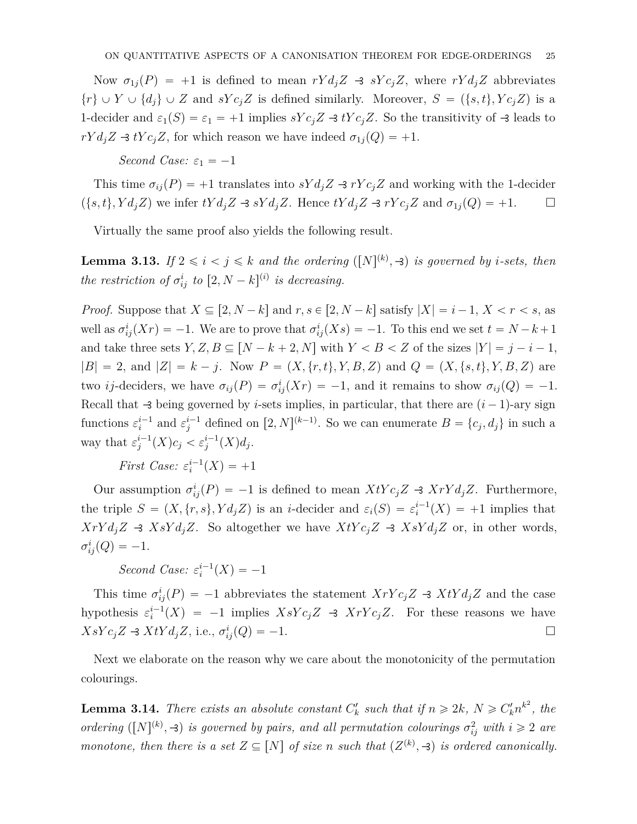Now  $\sigma_{1j}(P) = +1$  is defined to mean  $rY d_j Z \rightarrow sY c_j Z$ , where  $rY d_j Z$  abbreviates  $\{r\} \cup Y \cup \{d_j\} \cup Z$  and  $sYc_jZ$  is defined similarly. Moreover,  $S = (\{s,t\}, Yc_jZ)$  is a 1-decider and  $\varepsilon_1(S) = \varepsilon_1 = +1$  implies  $sYc_jZ \rightarrow tYc_jZ$ . So the transitivity of  $\rightarrow$  leads to *rY d<sub>j</sub>* $Z \rightarrow tYc_jZ$ , for which reason we have indeed  $\sigma_{1j}(Q) = +1$ .

# *Second Case:*  $\varepsilon_1 = -1$

This time  $\sigma_{ij}(P) = +1$  translates into  $sY d_j Z \rightarrow rY c_j Z$  and working with the 1-decider  $p{f}_i(s, t)$ ,  $Y d_j Z$  we infer  $tY d_j Z \rightarrow sY d_j Z$ . Hence  $tY d_j Z \rightarrow rY c_j Z$  and  $\sigma_{1j}(Q) = +1$ .  $\Box$ 

Virtually the same proof also yields the following result.

<span id="page-24-1"></span>**Lemma 3.13.** If  $2 \leq i \leq j \leq k$  and the ordering  $([N]^{(k)}, \exists)$  is governed by *i*-sets, then *the restriction of*  $\sigma_{ij}^i$  *to*  $[2, N - k]^{(i)}$  *is decreasing.* 

*Proof.* Suppose that  $X \subseteq [2, N-k]$  and  $r, s \in [2, N-k]$  satisfy  $|X| = i-1, X < r < s$ , as well as  $\sigma_{ij}^i(Xr) = -1$ . We are to prove that  $\sigma_{ij}^i(Xs) = -1$ . To this end we set  $t = N - k + 1$ and take three sets  $Y, Z, B \subseteq [N - k + 2, N]$  with  $Y < B < Z$  of the sizes  $|Y| = j - i - 1$ ,  $|B| = 2$ , and  $|Z| = k - j$ . Now  $P = (X, \{r, t\}, Y, B, Z)$  and  $Q = (X, \{s, t\}, Y, B, Z)$  are two *ij*-deciders, we have  $\sigma_{ij}(P) = \sigma_{ij}^i(Xr) = -1$ , and it remains to show  $\sigma_{ij}(Q) = -1$ . Recall that  $\rightarrow$  being governed by *i*-sets implies, in particular, that there are  $(i - 1)$ -ary sign functions  $\varepsilon_i^{i-1}$  and  $\varepsilon_j^{i-1}$  defined on  $[2, N]^{(k-1)}$ . So we can enumerate  $B = \{c_j, d_j\}$  in such a way that  $\varepsilon_j^{i-1}(X)c_j < \varepsilon_j^{i-1}(X)d_j$ .

*First Case:*  $\varepsilon_i^{i-1}(X) = +1$ 

Our assumption  $\sigma_{ij}^i(P) = -1$  is defined to mean  $XtYc_jZ \rightarrow XrYd_jZ$ . Furthermore, the triple  $S = (X, \{r, s\}, Y d_j Z)$  is an *i*-decider and  $\varepsilon_i(S) = \varepsilon_i^{i-1}(X) = +1$  implies that  $XrYd_jZ \rightarrow XsYd_jZ$ . So altogether we have  $XtYc_jZ \rightarrow XsYd_jZ$  or, in other words,  $\sigma_{ij}^i(Q) = -1.$ 

*Second Case:*  $\varepsilon_i^{i-1}(X) = -1$ 

This time  $\sigma_{ij}^i(P) = -1$  abbreviates the statement  $XrYc_jZ \rightarrow XtYd_jZ$  and the case hypothesis  $\varepsilon_i^{i-1}(X) = -1$  implies  $XsYc_jZ \rightarrow XrYc_jZ$ . For these reasons we have  $XsYc_jZ \rightarrow XtYd_jZ$ , i.e.,  $\sigma_{ij}^i(Q) = -1$ .

Next we elaborate on the reason why we care about the monotonicity of the permutation colourings.

<span id="page-24-0"></span>**Lemma 3.14.** *There exists an absolute constant*  $C_k^{\prime}$  *such that* if  $n \ge 2k$ *,*  $N \ge C_k^{\prime} n^{k^2}$ *, the ordering* ( $[N]^{(k)}$ ,  $\rightarrow$ ) *is governed by pairs, and all permutation colourings*  $\sigma_{ij}^2$  *with*  $i \geq 2$  *are monotone, then there is a set*  $Z \subseteq [N]$  *of size n such that*  $(Z^{(k)}, \mathcal{A})$  *is ordered canonically.*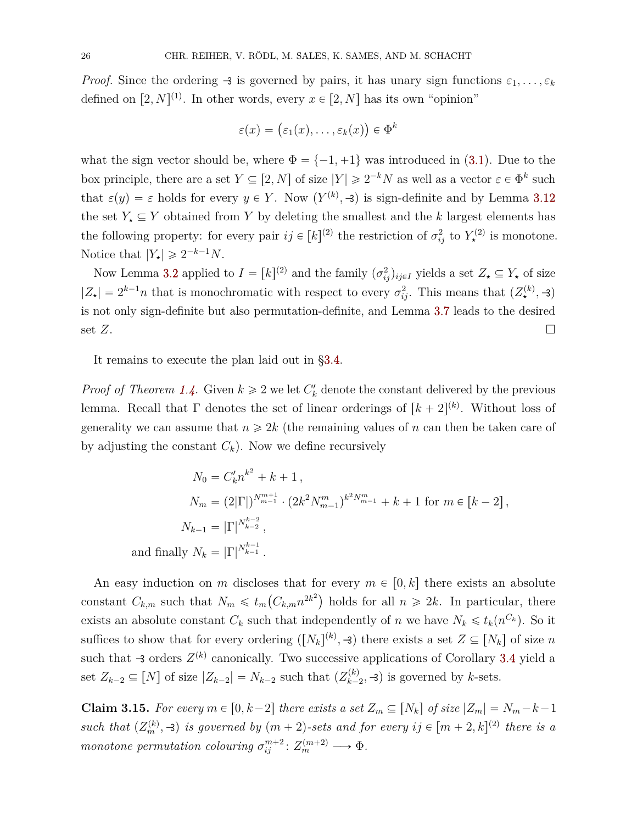*Proof.* Since the ordering  $\rightarrow$  is governed by pairs, it has unary sign functions  $\varepsilon_1, \ldots, \varepsilon_k$ defined on  $[2, N]^{(1)}$ . In other words, every  $x \in [2, N]$  has its own "opinion"

$$
\varepsilon(x) = (\varepsilon_1(x), \dots, \varepsilon_k(x)) \in \Phi^k
$$

what the sign vector should be, where  $\Phi = \{-1, +1\}$  was introduced in [\(3.1\)](#page-10-2). Due to the box principle, there are a set  $Y \subseteq [2, N]$  of size  $|Y| \geq 2^{-k}N$  as well as a vector  $\varepsilon \in \Phi^k$  such that  $\varepsilon(y) = \varepsilon$  holds for every  $y \in Y$ . Now  $(Y^{(k)}, -3)$  is sign-definite and by Lemma [3.12](#page-23-0) the set  $Y_{\star} \subseteq Y$  obtained from Y by deleting the smallest and the *k* largest elements has the following property: for every pair  $ij \in [k]^{(2)}$  the restriction of  $\sigma_{ij}^2$  to  $Y_{\star}^{(2)}$  is monotone. Notice that  $|Y_{\star}| \geq 2^{-k-1}N$ .

Now Lemma [3.2](#page-11-0) applied to  $I = [k]^{(2)}$  and the family  $(\sigma_{ij}^2)_{ij \in I}$  yields a set  $Z_{\star} \subseteq Y_{\star}$  of size  $|Z_{\star}| = 2^{k-1}n$  that is monochromatic with respect to every  $\sigma_{ij}^2$ . This means that  $(Z_{\star}^{(k)}, \rightarrow)$ is not only sign-definite but also permutation-definite, and Lemma [3.7](#page-19-0) leads to the desired set  $Z$ .

It remains to execute the plan laid out in [§3.4.](#page-22-0)

*Proof of Theorem [1.4.](#page-3-1)* Given  $k \geq 2$  we let  $C'_{k}$  denote the constant delivered by the previous lemma. Recall that  $\Gamma$  denotes the set of linear orderings of  $[k + 2]^{(k)}$ . Without loss of generality we can assume that  $n \geq 2k$  (the remaining values of *n* can then be taken care of by adjusting the constant  $C_k$ ). Now we define recursively

$$
N_0 = C'_k n^{k^2} + k + 1,
$$
  
\n
$$
N_m = (2|\Gamma|)^{N_{m-1}^{m+1}} \cdot (2k^2 N_{m-1}^m)^{k^2 N_{m-1}^m} + k + 1 \text{ for } m \in [k-2],
$$
  
\n
$$
N_{k-1} = |\Gamma|^{N_{k-2}^{k-2}},
$$
  
\nand finally 
$$
N_k = |\Gamma|^{N_{k-1}^{k-1}}.
$$

An easy induction on *m* discloses that for every  $m \in [0, k]$  there exists an absolute constant  $C_{k,m}$  such that  $N_m \leq t_m(C_{k,m}n^{2k^2})$  holds for all  $n \geq 2k$ . In particular, there exists an absolute constant  $C_k$  such that independently of *n* we have  $N_k \leq t_k(n^{C_k})$ . So it suffices to show that for every ordering  $([N_k]^{(k)}, \mathcal{F})$  there exists a set  $Z \subseteq [N_k]$  of size *n* such that  $\triangleleft$  orders  $Z^{(k)}$  canonically. Two successive applications of Corollary [3.4](#page-15-0) yield a set  $Z_{k-2} \subseteq [N]$  of size  $|Z_{k-2}| = N_{k-2}$  such that  $(Z_{k-2}^{(k)})$  $(k)$ <sub>k-2</sub>, -3) is governed by *k*-sets.

<span id="page-25-0"></span>**Claim 3.15.** For every  $m \in [0, k-2]$  there exists a set  $Z_m \subseteq [N_k]$  of size  $|Z_m| = N_m - k - 1$ *such that*  $(Z_m^{(k)}, -3)$  *is governed by*  $(m + 2)$ -sets and for every  $ij \in [m + 2, k]^{(2)}$  there is a *monotone permutation colouring*  $\sigma_{ij}^{m+2}$ :  $Z_m^{(m+2)} \longrightarrow \Phi$ .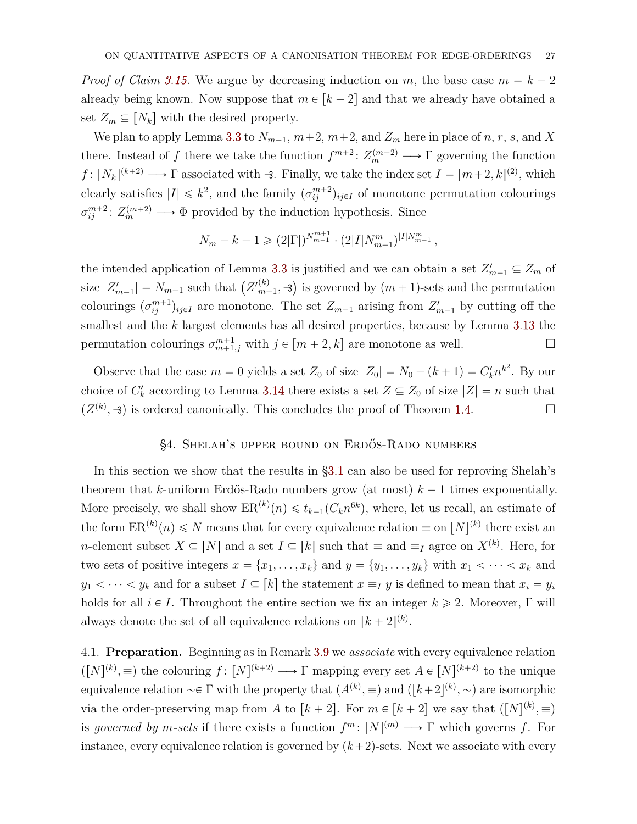*Proof of Claim [3.15.](#page-25-0)* We argue by decreasing induction on *m*, the base case  $m = k - 2$ already being known. Now suppose that  $m \in [k-2]$  and that we already have obtained a set  $Z_m \subseteq [N_k]$  with the desired property.

We plan to apply Lemma [3.3](#page-12-0) to  $N_{m-1}$ ,  $m+2$ ,  $m+2$ , and  $Z_m$  here in place of *n*, *r*, *s*, and *X* there. Instead of *f* there we take the function  $f^{m+2}: Z_m^{(m+2)} \longrightarrow \Gamma$  governing the function *f* :  $[N_k]^{(k+2)} \longrightarrow \Gamma$  associated with -3. Finally, we take the index set  $I = [m+2, k]^{(2)}$ , which clearly satisfies  $|I| \leq k^2$ , and the family  $(\sigma_{ij}^{m+2})_{ij \in I}$  of monotone permutation colourings  $\sigma_{ij}^{m+2}$ :  $Z_m^{(m+2)} \longrightarrow \Phi$  provided by the induction hypothesis. Since

$$
N_m - k - 1 \geqslant (2|\Gamma|)^{N_{m-1}^{m+1}} \cdot (2|I| N_{m-1}^m)^{|I| N_{m-1}^m},
$$

the intended application of Lemma [3.3](#page-12-0) is justified and we can obtain a set  $Z'_{m-1} \subseteq Z_m$  of size  $|Z'_{m-1}| = N_{m-1}$  such that  $(Z'^{(k)}_{m-1})$  $\binom{k}{m-1}$ ,  $\rightarrow$ ) is governed by  $(m+1)$ -sets and the permutation colourings  $(\sigma_{ij}^{m+1})_{ij\in I}$  are monotone. The set  $Z_{m-1}$  arising from  $Z'_{m-1}$  by cutting off the smallest and the *k* largest elements has all desired properties, because by Lemma [3.13](#page-24-1) the permutation colourings  $\sigma_{m+1,j}^{m+1}$  with  $j \in [m+2,k]$  are monotone as well.

Observe that the case  $m = 0$  yields a set  $Z_0$  of size  $|Z_0| = N_0 - (k+1) = C'_k n^{k^2}$ . By our choice of  $C'_{k}$  according to Lemma [3.14](#page-24-0) there exists a set  $Z \subseteq Z_{0}$  of size  $|Z| = n$  such that  $(Z^{(k)}, \mathcal{A})$  is ordered canonically. This concludes the proof of Theorem [1.4.](#page-3-1)

#### §4. Shelah's upper bound on Erdős-Rado numbers

<span id="page-26-0"></span>In this section we show that the results in [§3.1](#page-10-3) can also be used for reproving Shelah's theorem that *k*-uniform Erdős-Rado numbers grow (at most)  $k-1$  times exponentially. More precisely, we shall show  $ER^{(k)}(n) \leq t_{k-1}(C_k n^{6k})$ , where, let us recall, an estimate of the form  $\text{ER}^{(k)}(n) \leq N$  means that for every equivalence relation  $\equiv$  on  $[N]^{(k)}$  there exist an *n*-element subset  $X \subseteq [N]$  and a set  $I \subseteq [k]$  such that  $\equiv$  and  $\equiv_I$  agree on  $X^{(k)}$ . Here, for two sets of positive integers  $x = \{x_1, \ldots, x_k\}$  and  $y = \{y_1, \ldots, y_k\}$  with  $x_1 < \cdots < x_k$  and  $y_1 < \cdots < y_k$  and for a subset  $I \subseteq [k]$  the statement  $x \equiv_I y$  is defined to mean that  $x_i = y_i$ holds for all  $i \in I$ . Throughout the entire section we fix an integer  $k \ge 2$ . Moreover, Γ will always denote the set of all equivalence relations on  $[k + 2]^{(k)}$ .

4.1. **Preparation.** Beginning as in Remark [3.9](#page-21-0) we *associate* with every equivalence relation  $([N]^{(k)}, \equiv)$  the colouring  $f: [N]^{(k+2)} \longrightarrow \Gamma$  mapping every set  $A \in [N]^{(k+2)}$  to the unique equivalence relation  $\sim \in \Gamma$  with the property that  $(A^{(k)}, \equiv)$  and  $([k+2]^{(k)}, \sim)$  are isomorphic via the order-preserving map from *A* to  $[k + 2]$ . For  $m \in [k + 2]$  we say that  $([N]^{(k)}, \equiv)$ is *governed by m*-sets if there exists a function  $f^m: [N]^{(m)} \longrightarrow \Gamma$  which governs f. For instance, every equivalence relation is governed by  $(k+2)$ -sets. Next we associate with every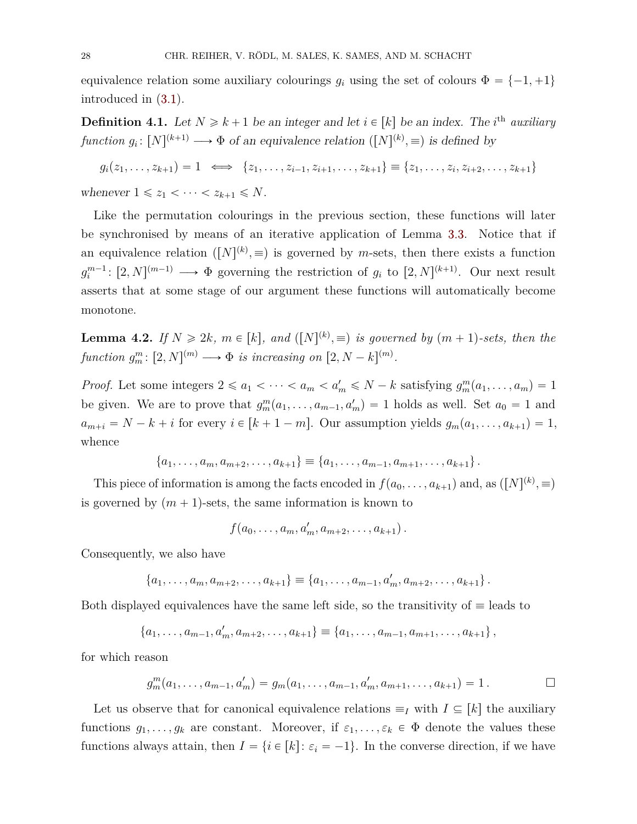equivalence relation some auxiliary colourings  $g_i$  using the set of colours  $\Phi = \{-1, +1\}$ introduced in [\(3.1\)](#page-10-2).

**Definition 4.1.** Let  $N \ge k+1$  be an integer and let  $i \in [k]$  be an index. The *i*<sup>th</sup> *auxiliary function*  $g_i: [N]^{(k+1)} \longrightarrow \Phi$  of an equivalence relation  $([N]^{(k)}, \equiv)$  is defined by

$$
g_i(z_1, \ldots, z_{k+1}) = 1 \iff \{z_1, \ldots, z_{i-1}, z_{i+1}, \ldots, z_{k+1}\} \equiv \{z_1, \ldots, z_i, z_{i+2}, \ldots, z_{k+1}\}
$$
  
whenever  $1 \le z_1 < \cdots < z_{k+1} \le N$ .

Like the permutation colourings in the previous section, these functions will later be synchronised by means of an iterative application of Lemma [3.3.](#page-12-0) Notice that if an equivalence relation  $([N]^{(k)}, \equiv)$  is governed by *m*-sets, then there exists a function  $g_i^{m-1}$ :  $[2, N]^{(m-1)} \longrightarrow \Phi$  governing the restriction of  $g_i$  to  $[2, N]^{(k+1)}$ . Our next result asserts that at some stage of our argument these functions will automatically become monotone.

<span id="page-27-0"></span>**Lemma 4.2.** *If*  $N \ge 2k$ *,*  $m \in [k]$ *, and*  $([N]^{(k)} \neq )$  *is governed by*  $(m + 1)$ -sets, then the *function*  $g_m^m$ :  $[2, N]^{(m)} \longrightarrow \Phi$  *is increasing on*  $[2, N - k]^{(m)}$ *.* 

*Proof.* Let some integers  $2 \le a_1 < \cdots < a_m < a'_m \le N - k$  satisfying  $g_m^m(a_1, \ldots, a_m) = 1$ be given. We are to prove that  $g_m^m(a_1, \ldots, a_{m-1}, a'_m) = 1$  holds as well. Set  $a_0 = 1$  and  $a_{m+i} = N - k + i$  for every  $i \in [k+1-m]$ . Our assumption yields  $g_m(a_1, \ldots, a_{k+1}) = 1$ , whence

$$
\{a_1,\ldots,a_m,a_{m+2},\ldots,a_{k+1}\} \equiv \{a_1,\ldots,a_{m-1},a_{m+1},\ldots,a_{k+1}\}.
$$

This piece of information is among the facts encoded in  $f(a_0, \ldots, a_{k+1})$  and, as  $([N]^{(k)}, \equiv)$ is governed by  $(m + 1)$ -sets, the same information is known to

$$
f(a_0,\ldots,a_m,a'_m,a_{m+2},\ldots,a_{k+1}).
$$

Consequently, we also have

$$
\{a_1,\ldots,a_m,a_{m+2},\ldots,a_{k+1}\} \equiv \{a_1,\ldots,a_{m-1},a'_m,a_{m+2},\ldots,a_{k+1}\}.
$$

Both displayed equivalences have the same left side, so the transitivity of  $\equiv$  leads to

$$
\{a_1,\ldots,a_{m-1},a'_m,a_{m+2},\ldots,a_{k+1}\}\equiv\{a_1,\ldots,a_{m-1},a_{m+1},\ldots,a_{k+1}\}\,
$$

for which reason

$$
g_m^m(a_1,\ldots,a_{m-1},a'_m)=g_m(a_1,\ldots,a_{m-1},a'_m,a_{m+1},\ldots,a_{k+1})=1.
$$

Let us observe that for canonical equivalence relations  $\equiv_I$  with  $I \subseteq [k]$  the auxiliary functions  $g_1, \ldots, g_k$  are constant. Moreover, if  $\varepsilon_1, \ldots, \varepsilon_k \in \Phi$  denote the values these functions always attain, then  $I = \{i \in [k]: \varepsilon_i = -1\}$ . In the converse direction, if we have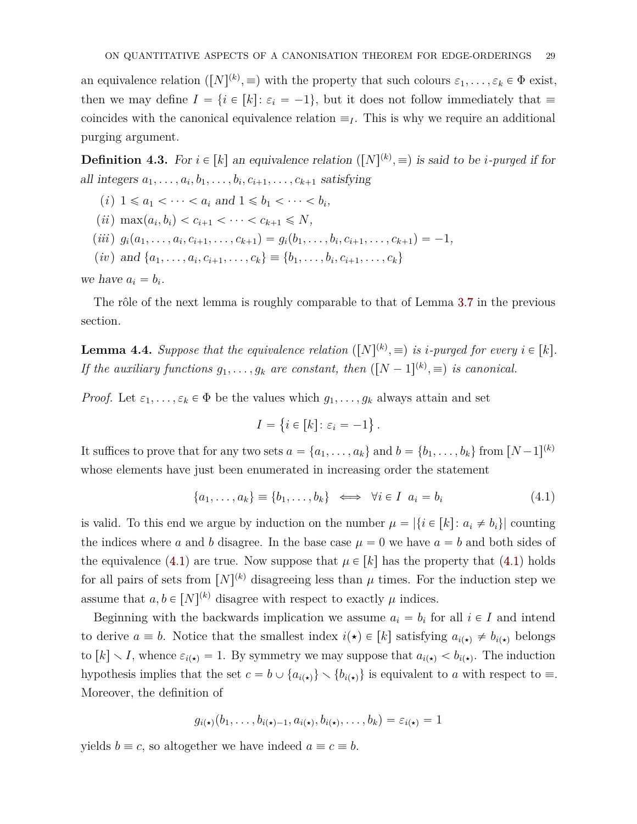an equivalence relation  $([N]^{(k)}, \equiv)$  with the property that such colours  $\varepsilon_1, \ldots, \varepsilon_k \in \Phi$  exist, then we may define  $I = \{i \in [k]: \varepsilon_i = -1\}$ , but it does not follow immediately that  $\equiv$ coincides with the canonical equivalence relation  $\equiv_I$ . This is why we require an additional purging argument.

<span id="page-28-3"></span>**Definition 4.3.** For  $i \in [k]$  an equivalence relation  $([N]^{(k)}, \equiv)$  is said to be *i-purged* if for all integers  $a_1, \ldots, a_i, b_1, \ldots, b_i, c_{i+1}, \ldots, c_{k+1}$  satisfying

- <span id="page-28-1"></span> $(i)$  1  $\le a_1 < \cdots < a_i$  and  $1 \le b_1 < \cdots < b_i$ ,
- $(ii)$  max $(a_i, b_i) < c_{i+1} < \cdots < c_{k+1} \le N$ ,
- <span id="page-28-5"></span>(iii)  $g_i(a_1,\ldots,a_i,c_{i+1},\ldots,c_{k+1}) = g_i(b_1,\ldots,b_i,c_{i+1},\ldots,c_{k+1}) = -1,$
- <span id="page-28-2"></span> $(iv)$  and  $\{a_1, \ldots, a_i, c_{i+1}, \ldots, c_k\} \equiv \{b_1, \ldots, b_i, c_{i+1}, \ldots, c_k\}$

we have  $a_i = b_i$ .

The rôle of the next lemma is roughly comparable to that of Lemma [3.7](#page-19-0) in the previous section.

<span id="page-28-4"></span>**Lemma 4.4.** *Suppose that the equivalence relation*  $([N]^{(k)}, \equiv)$  *is i-purged for every*  $i \in [k]$ *. If the auxiliary functions*  $g_1, \ldots, g_k$  *are constant, then*  $([N-1]^{(k)}, \equiv)$  *is canonical.* 

*Proof.* Let  $\varepsilon_1, \ldots, \varepsilon_k \in \Phi$  be the values which  $g_1, \ldots, g_k$  always attain and set

$$
I = \{ i \in [k] \colon \varepsilon_i = -1 \}
$$

It suffices to prove that for any two sets  $a = \{a_1, \ldots, a_k\}$  and  $b = \{b_1, \ldots, b_k\}$  from  $[N-1]^{(k)}$ whose elements have just been enumerated in increasing order the statement

<span id="page-28-0"></span>
$$
\{a_1, \ldots, a_k\} \equiv \{b_1, \ldots, b_k\} \iff \forall i \in I \ \ a_i = b_i \tag{4.1}
$$

*.*

is valid. To this end we argue by induction on the number  $\mu = |\{i \in [k]: a_i \neq b_i\}|$  counting the indices where a and b disagree. In the base case  $\mu = 0$  we have  $a = b$  and both sides of the equivalence [\(4.1\)](#page-28-0) are true. Now suppose that  $\mu \in [k]$  has the property that (4.1) holds for all pairs of sets from  $[N]^{(k)}$  disagreeing less than  $\mu$  times. For the induction step we assume that  $a, b \in [N]^{(k)}$  disagree with respect to exactly  $\mu$  indices.

Beginning with the backwards implication we assume  $a_i = b_i$  for all  $i \in I$  and intend to derive  $a \equiv b$ . Notice that the smallest index  $i(\star) \in [k]$  satisfying  $a_{i(\star)} \neq b_{i(\star)}$  belongs to  $[k] \setminus I$ , whence  $\varepsilon_{i(\star)} = 1$ . By symmetry we may suppose that  $a_{i(\star)} < b_{i(\star)}$ . The induction hypothesis implies that the set  $c = b \cup \{a_{i(\star)}\} \setminus \{b_{i(\star)}\}$  is equivalent to *a* with respect to  $\equiv$ . Moreover, the definition of

$$
g_{i(\star)}(b_1,\ldots,b_{i(\star)-1},a_{i(\star)},b_{i(\star)},\ldots,b_k)=\varepsilon_{i(\star)}=1
$$

yields  $b \equiv c$ , so altogether we have indeed  $a \equiv c \equiv b$ .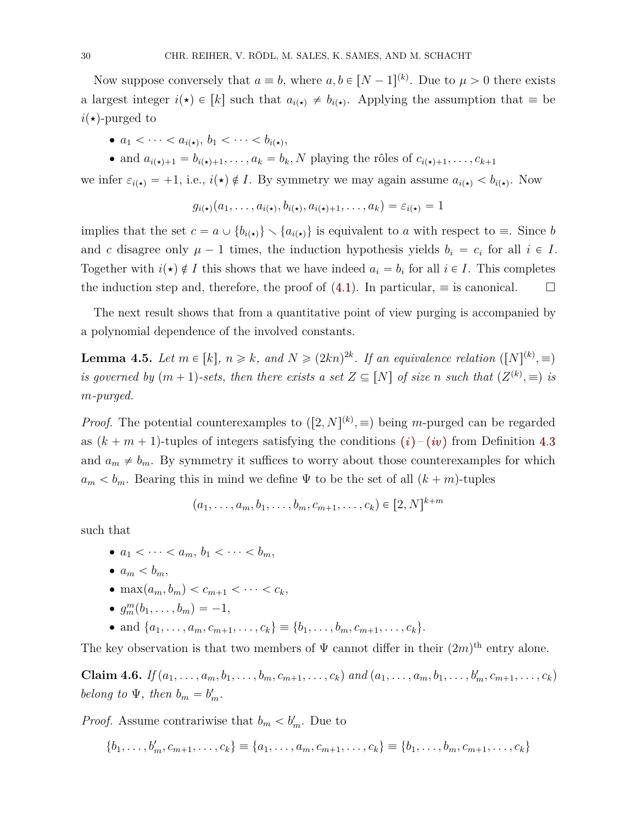Now suppose conversely that  $a \equiv b$ , where  $a, b \in [N-1]^{(k)}$ . Due to  $\mu > 0$  there exists a largest integer  $i(\star) \in [k]$  such that  $a_{i(\star)} \neq b_{i(\star)}$ . Applying the assumption that  $\equiv$  be  $i(\star)$ -purged to

- $a_1 < \cdots < a_{i(\star)}, b_1 < \cdots < b_{i(\star)},$
- and  $a_{i(\star)+1} = b_{i(\star)+1}, \ldots, a_k = b_k, N$  playing the rôles of  $c_{i(\star)+1}, \ldots, c_{k+1}$

we infer  $\varepsilon_{i(\star)} = +1$ , i.e.,  $i(\star) \notin I$ . By symmetry we may again assume  $a_{i(\star)} < b_{i(\star)}$ . Now

$$
g_{i(\star)}(a_1,\ldots,a_{i(\star)},b_{i(\star)},a_{i(\star)+1},\ldots,a_k)=\varepsilon_{i(\star)}=1
$$

implies that the set  $c = a \cup \{b_{i(\star)}\} \setminus \{a_{i(\star)}\}$  is equivalent to *a* with respect to  $\equiv$ . Since *b* and *c* disagree only  $\mu - 1$  times, the induction hypothesis yields  $b_i = c_i$  for all  $i \in I$ . Together with  $i(\star) \notin I$  this shows that we have indeed  $a_i = b_i$  for all  $i \in I$ . This completes the induction step and, therefore, the proof of [\(4.1\)](#page-28-0). In particular,  $\equiv$  is canonical.

The next result shows that from a quantitative point of view purging is accompanied by a polynomial dependence of the involved constants.

<span id="page-29-1"></span>**Lemma 4.5.** Let  $m \in [k]$ ,  $n \geq k$ , and  $N \geq (2kn)^{2k}$ . If an equivalence relation  $([N]^{(k)}, \equiv)$ *is governed by*  $(m + 1)$ -sets, then there exists a set  $Z \subseteq [N]$  of size *n* such that  $(Z^{(k)}, \equiv)$  is *m-purged.*

*Proof.* The potential counterexamples to  $([2, N]^{(k)}, \equiv)$  being *m*-purged can be regarded as  $(k + m + 1)$  $(k + m + 1)$ -tuples of integers satisfying the conditions  $(i)$  –  $(iv)$  $(iv)$  $(iv)$  from Definition [4.3](#page-28-3) and  $a_m \neq b_m$ . By symmetry it suffices to worry about those counterexamples for which  $a_m < b_m$ . Bearing this in mind we define Ψ to be the set of all  $(k + m)$ -tuples

$$
(a_1, \ldots, a_m, b_1, \ldots, b_m, c_{m+1}, \ldots, c_k) \in [2, N]^{k+m}
$$

such that

- $\bullet$   $a_1 < \cdots < a_m, b_1 < \cdots < b_m$
- $\bullet$   $a_m < b_m$ ,
- $\bullet$  max $(a_m, b_m) < c_{m+1} < \cdots < c_k,$
- $g_m^m(b_1, \ldots, b_m) = -1,$
- and  $\{a_1, \ldots, a_m, c_{m+1}, \ldots, c_k\} \equiv \{b_1, \ldots, b_m, c_{m+1}, \ldots, c_k\}.$

The key observation is that two members of  $\Psi$  cannot differ in their  $(2m)$ <sup>th</sup> entry alone.

<span id="page-29-0"></span>**Claim 4.6.** If  $(a_1, ..., a_m, b_1, ..., b_m, c_{m+1}, ..., c_k)$  and  $(a_1, ..., a_m, b_1, ..., b'_m, c_{m+1}, ..., c_k)$ *belong to*  $\Psi$ *, then*  $b_m = b'_m$ *.* 

*Proof.* Assume contrariwise that  $b_m < b'_m$ . Due to

$$
\{b_1, \ldots, b'_m, c_{m+1}, \ldots, c_k\} \equiv \{a_1, \ldots, a_m, c_{m+1}, \ldots, c_k\} \equiv \{b_1, \ldots, b_m, c_{m+1}, \ldots, c_k\}
$$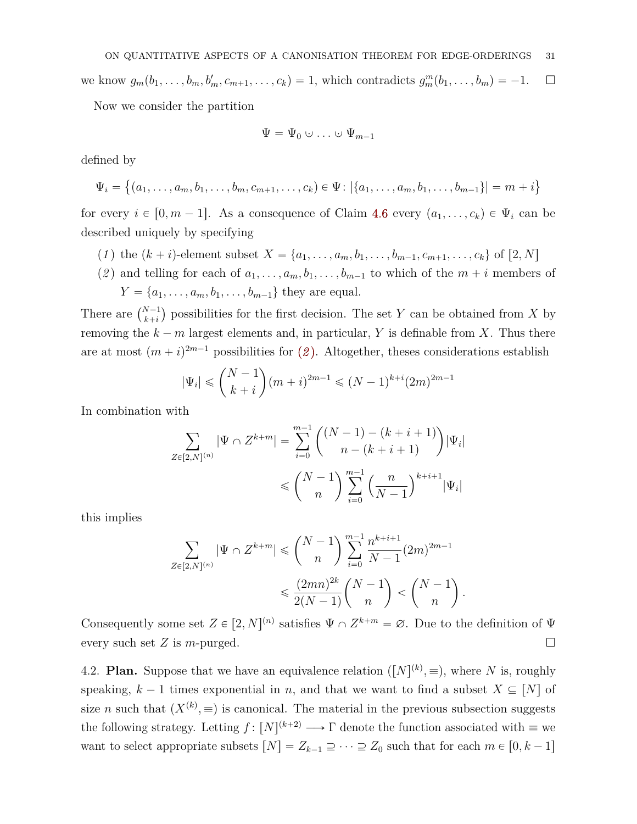we know  $g_m(b_1, \ldots, b_m, b'_m, c_{m+1}, \ldots, c_k) = 1$ , which contradicts  $g_m^m(b_1, \ldots, b_m) = -1$ .  $\Box$ 

Now we consider the partition

$$
\Psi = \Psi_0 \cup \ldots \cup \Psi_{m-1}
$$

defined by

$$
\Psi_i = \{(a_1, \ldots, a_m, b_1, \ldots, b_m, c_{m+1}, \ldots, c_k) \in \Psi \colon |\{a_1, \ldots, a_m, b_1, \ldots, b_{m-1}\}| = m + i\}
$$

for every  $i \in [0, m - 1]$ . As a consequence of Claim [4.6](#page-29-0) every  $(a_1, \ldots, c_k) \in \Psi_i$  can be described uniquely by specifying

- (1) the  $(k + i)$ -element subset  $X = \{a_1, \ldots, a_m, b_1, \ldots, b_{m-1}, c_{m+1}, \ldots, c_k\}$  of  $[2, N]$
- <span id="page-30-0"></span>(2) and telling for each of  $a_1, \ldots, a_m, b_1, \ldots, b_{m-1}$  to which of the  $m + i$  members of  $Y = \{a_1, \ldots, a_m, b_1, \ldots, b_{m-1}\}\$  they are equal.

There are  $\binom{N-1}{k+i}$  possibilities for the first decision. The set *Y* can be obtained from *X* by removing the  $k - m$  largest elements and, in particular, Y is definable from X. Thus there are at most  $(m + i)^{2m-1}$  $(m + i)^{2m-1}$  $(m + i)^{2m-1}$  possibilities for (2). Altogether, theses considerations establish ˙

$$
|\Psi_i| \leq {N-1 \choose k+i} (m+i)^{2m-1} \leq (N-1)^{k+i} (2m)^{2m-1}
$$

In combination with

$$
\sum_{Z \in [2,N]^{(n)}} |\Psi \cap Z^{k+m}| = \sum_{i=0}^{m-1} \binom{(N-1) - (k+i+1)}{n - (k+i+1)} |\Psi_i|
$$
  
\$\leq \binom{N-1}{n} \sum\_{i=0}^{m-1} \left(\frac{n}{N-1}\right)^{k+i+1} |\Psi\_i|\$

this implies

$$
\sum_{Z \in [2,N]^{(n)}} |\Psi \cap Z^{k+m}| \leqslant \binom{N-1}{n} \sum_{i=0}^{m-1} \frac{n^{k+i+1}}{N-1} (2m)^{2m-1} \leqslant \frac{(2mn)^{2k}}{2(N-1)} \binom{N-1}{n} < \binom{N-1}{n}.
$$

Consequently some set  $Z \in [2, N]^{(n)}$  satisfies  $\Psi \cap Z^{k+m} = \emptyset$ . Due to the definition of  $\Psi$ every such set  $Z$  is *m*-purged.

4.2. **Plan.** Suppose that we have an equivalence relation  $([N]^{(k)}, \equiv)$ , where *N* is, roughly speaking,  $k-1$  times exponential in *n*, and that we want to find a subset  $X \subseteq [N]$  of size *n* such that  $(X^{(k)}, \equiv)$  is canonical. The material in the previous subsection suggests the following strategy. Letting  $f: [N]^{(k+2)} \longrightarrow \Gamma$  denote the function associated with  $\equiv$  we want to select appropriate subsets  $[N] = Z_{k-1} \supseteq \cdots \supseteq Z_0$  such that for each  $m \in [0, k-1]$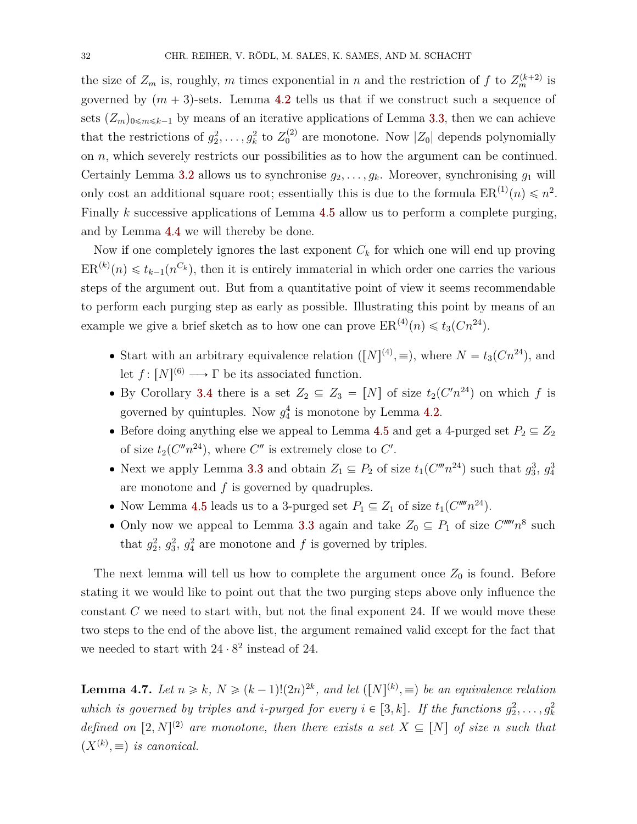the size of  $Z_m$  is, roughly, *m* times exponential in *n* and the restriction of *f* to  $Z_m^{(k+2)}$  is governed by  $(m + 3)$ -sets. Lemma [4.2](#page-27-0) tells us that if we construct such a sequence of sets  $(Z_m)_{0 \le m \le k-1}$  by means of an iterative applications of Lemma [3.3,](#page-12-0) then we can achieve that the restrictions of  $g_2^2, \ldots, g_k^2$  to  $Z_0^{(2)}$  are monotone. Now  $|Z_0|$  depends polynomially on *n*, which severely restricts our possibilities as to how the argument can be continued. Certainly Lemma [3.2](#page-11-0) allows us to synchronise  $g_2, \ldots, g_k$ . Moreover, synchronising  $g_1$  will only cost an additional square root; essentially this is due to the formula  $ER^{(1)}(n) \leq n^2$ . Finally *k* successive applications of Lemma [4.5](#page-29-1) allow us to perform a complete purging, and by Lemma [4.4](#page-28-4) we will thereby be done.

Now if one completely ignores the last exponent *C<sup>k</sup>* for which one will end up proving  $ER^{(k)}(n) \leq t_{k-1}(n^{C_k})$ , then it is entirely immaterial in which order one carries the various steps of the argument out. But from a quantitative point of view it seems recommendable to perform each purging step as early as possible. Illustrating this point by means of an example we give a brief sketch as to how one can prove  $ER^{(4)}(n) \leq t_3(Cn^{24})$ .

- Start with an arbitrary equivalence relation  $([N]^{(4)}, \equiv)$ , where  $N = t_3(Cn^{24})$ , and let  $f: [N]^{(6)} \longrightarrow \Gamma$  be its associated function.
- By Corollary [3.4](#page-15-0) there is a set  $Z_2 \subseteq Z_3 = [N]$  of size  $t_2(C'n^{24})$  on which f is governed by quintuples. Now  $g_4^4$  is monotone by Lemma [4.2.](#page-27-0)
- Before doing anything else we appeal to Lemma [4.5](#page-29-1) and get a 4-purged set  $P_2 \subseteq Z_2$ of size  $t_2(C''n^{24})$ , where  $C''$  is extremely close to  $C'$ .
- Next we apply Lemma [3.3](#page-12-0) and obtain  $Z_1 \subseteq P_2$  of size  $t_1(C^m n^{24})$  such that  $g_3^3$ ,  $g_4^3$ are monotone and *f* is governed by quadruples.
- Now Lemma [4.5](#page-29-1) leads us to a 3-purged set  $P_1 \subseteq Z_1$  of size  $t_1(C''''n^{24})$ .
- Only now we appeal to Lemma [3.3](#page-12-0) again and take  $Z_0 \subseteq P_1$  of size  $C^{n m} n^8$  such that  $g_2^2$ ,  $g_3^2$ ,  $g_4^2$  are monotone and *f* is governed by triples.

The next lemma will tell us how to complete the argument once  $Z_0$  is found. Before stating it we would like to point out that the two purging steps above only influence the constant *C* we need to start with, but not the final exponent 24. If we would move these two steps to the end of the above list, the argument remained valid except for the fact that we needed to start with  $24 \cdot 8^2$  instead of 24.

<span id="page-31-0"></span>**Lemma 4.7.** Let  $n \geq k$ ,  $N \geq (k-1)!(2n)^{2k}$ , and let  $([N]^{(k)}, \equiv)$  be an equivalence relation which is governed by triples and *i*-purged for every  $i \in [3, k]$ . If the functions  $g_2^2, \ldots, g_k^2$ *defined on*  $[2, N]^{(2)}$  *are monotone, then there exists a set*  $X \subseteq [N]$  *of size n such that*  $(X^{(k)}, \equiv)$  *is canonical.*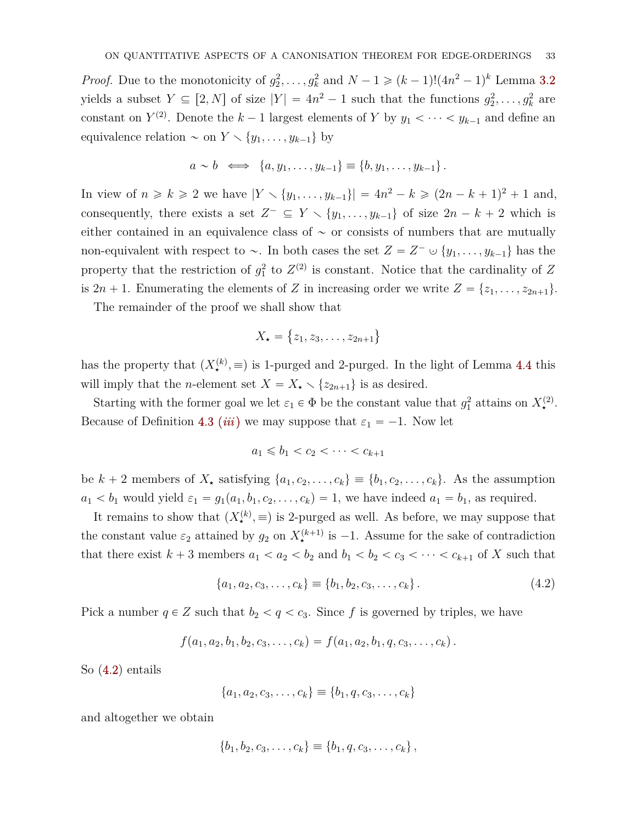*Proof.* Due to the monotonicity of  $g_2^2, \ldots, g_k^2$  and  $N-1 \geq (k-1)!(4n^2-1)^k$  Lemma [3.2](#page-11-0) yields a subset  $Y \subseteq [2, N]$  of size  $|Y| = 4n^2 - 1$  such that the functions  $g_2^2, \ldots, g_k^2$  are constant on  $Y^{(2)}$ . Denote the  $k-1$  largest elements of Y by  $y_1 < \cdots < y_{k-1}$  and define an equivalence relation  $\sim$  on  $Y \setminus \{y_1, \ldots, y_{k-1}\}\$  by

$$
a \sim b \iff \{a, y_1, \ldots, y_{k-1}\} \equiv \{b, y_1, \ldots, y_{k-1}\}.
$$

In view of  $n \ge k \ge 2$  we have  $|Y \setminus \{y_1, \ldots, y_{k-1}\}| = 4n^2 - k \ge (2n - k + 1)^2 + 1$  and, consequently, there exists a set  $Z^- \subseteq Y \setminus \{y_1, \ldots, y_{k-1}\}\$  of size  $2n - k + 2$  which is either contained in an equivalence class of  $\sim$  or consists of numbers that are mutually non-equivalent with respect to  $\sim$ . In both cases the set  $Z = Z^- \cup \{y_1, \ldots, y_{k-1}\}\)$  has the property that the restriction of  $g_1^2$  to  $Z^{(2)}$  is constant. Notice that the cardinality of Z is  $2n + 1$ . Enumerating the elements of *Z* in increasing order we write  $Z = \{z_1, \ldots, z_{2n+1}\}.$ 

The remainder of the proof we shall show that

$$
X_{\star} = \{z_1, z_3, \ldots, z_{2n+1}\}
$$

has the property that  $(X_{\star}^{(k)}, \equiv)$  is 1-purged and 2-purged. In the light of Lemma [4.4](#page-28-4) this will imply that the *n*-element set  $X = X_{\star} \setminus \{z_{2n+1}\}\)$  is as desired.

Starting with the former goal we let  $\varepsilon_1 \in \Phi$  be the constant value that  $g_1^2$  attains on  $X_{\star}^{(2)}$ . Because of Definition [4.3](#page-28-3) *([iii](#page-28-5))* we may suppose that  $\varepsilon_1 = -1$ . Now let

$$
a_1 \leq b_1 < c_2 < \cdots < c_{k+1}
$$

be  $k + 2$  members of  $X_{\star}$  satisfying  $\{a_1, c_2, \ldots, c_k\} \equiv \{b_1, c_2, \ldots, c_k\}$ . As the assumption  $a_1 < b_1$  would yield  $\varepsilon_1 = g_1(a_1, b_1, c_2, \ldots, c_k) = 1$ , we have indeed  $a_1 = b_1$ , as required.

It remains to show that  $(X^{(k)}_*)$ ,  $\equiv$  is 2-purged as well. As before, we may suppose that the constant value  $\varepsilon_2$  attained by  $g_2$  on  $X^{(k+1)}_*$  is  $-1$ . Assume for the sake of contradiction that there exist  $k + 3$  members  $a_1 < a_2 < b_2$  and  $b_1 < b_2 < c_3 < \cdots < c_{k+1}$  of X such that

<span id="page-32-0"></span>
$$
\{a_1, a_2, c_3, \dots, c_k\} \equiv \{b_1, b_2, c_3, \dots, c_k\}.
$$
\n(4.2)

Pick a number  $q \in \mathbb{Z}$  such that  $b_2 < q < c_3$ . Since f is governed by triples, we have

$$
f(a_1, a_2, b_1, b_2, c_3, \ldots, c_k) = f(a_1, a_2, b_1, q, c_3, \ldots, c_k).
$$

So [\(4.2\)](#page-32-0) entails

$$
\{a_1, a_2, c_3, \dots, c_k\} \equiv \{b_1, q, c_3, \dots, c_k\}
$$

and altogether we obtain

$$
\{b_1, b_2, c_3, \ldots, c_k\} \equiv \{b_1, q, c_3, \ldots, c_k\},
$$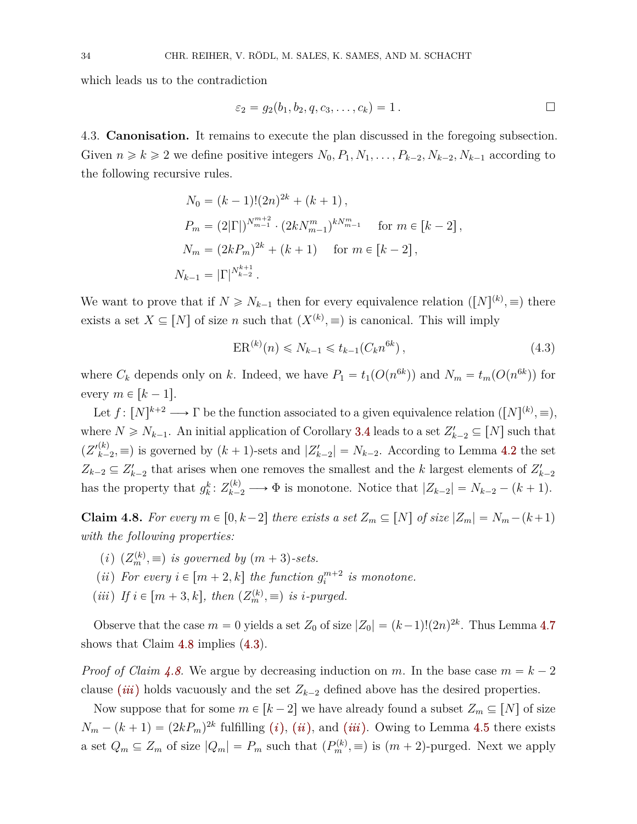which leads us to the contradiction

$$
\varepsilon_2 = g_2(b_1, b_2, q, c_3, \dots, c_k) = 1.
$$

4.3. **Canonisation.** It remains to execute the plan discussed in the foregoing subsection. Given  $n \ge k \ge 2$  we define positive integers  $N_0, P_1, N_1, \ldots, P_{k-2}, N_{k-2}, N_{k-1}$  according to the following recursive rules.

$$
N_0 = (k-1)!(2n)^{2k} + (k+1),
$$
  
\n
$$
P_m = (2|\Gamma|)^{N_{m-1}^{m+2}} \cdot (2kN_{m-1}^m)^{kN_{m-1}^m} \quad \text{for } m \in [k-2],
$$
  
\n
$$
N_m = (2kP_m)^{2k} + (k+1) \quad \text{for } m \in [k-2],
$$
  
\n
$$
N_{k-1} = |\Gamma|^{N_{k-2}^{k+1}}.
$$

We want to prove that if  $N \ge N_{k-1}$  then for every equivalence relation  $([N]^{(k)}, \equiv)$  there exists a set  $X \subseteq [N]$  of size *n* such that  $(X^{(k)}, \equiv)$  is canonical. This will imply

<span id="page-33-1"></span>
$$
ER^{(k)}(n) \le N_{k-1} \le t_{k-1}(C_k n^{6k}),\tag{4.3}
$$

where  $C_k$  depends only on *k*. Indeed, we have  $P_1 = t_1(O(n^{6k}))$  and  $N_m = t_m(O(n^{6k}))$  for every  $m \in [k-1]$ .

Let  $f: [N]^{k+2} \longrightarrow \Gamma$  be the function associated to a given equivalence relation  $([N]^{(k)}, \equiv),$ where  $N \ge N_{k-1}$ . An initial application of Corollary [3.4](#page-15-0) leads to a set  $Z'_{k-2} \subseteq [N]$  such that  $(Z'^{(k)}_{k}$  $\binom{k}{k-2}$  is governed by  $(k+1)$ -sets and  $|Z'_{k-2}| = N_{k-2}$ . According to Lemma [4.2](#page-27-0) the set  $Z_{k-2} \subseteq Z'_{k-2}$  that arises when one removes the smallest and the *k* largest elements of  $Z'_{k-2}$ has the property that  $g_k^k: Z_{k-2}^{(k)} \longrightarrow \Phi$  is monotone. Notice that  $|Z_{k-2}| = N_{k-2} - (k+1)$ .

<span id="page-33-0"></span>**Claim 4.8.** For every  $m \in [0, k-2]$  there exists a set  $Z_m \subseteq [N]$  of size  $|Z_m| = N_m - (k+1)$ *with the following properties:*

- <span id="page-33-3"></span> $(i)$   $(Z_m^{(k)}, \equiv)$  *is governed by*  $(m+3)$ -sets.
- <span id="page-33-4"></span>(*ii*) For every  $i \in [m+2, k]$  the function  $g_i^{m+2}$  is monotone.
- <span id="page-33-2"></span> $(iii)$  *If*  $i \in [m+3, k]$ , then  $(Z_m^{(k)}, \equiv)$  *is i-purged.*

Observe that the case  $m = 0$  yields a set  $Z_0$  of size  $|Z_0| = (k-1)!(2n)^{2k}$ . Thus Lemma [4.7](#page-31-0) shows that Claim [4.8](#page-33-0) implies [\(4.3\)](#page-33-1).

*Proof of Claim [4.8.](#page-33-0)* We argue by decreasing induction on *m*. In the base case  $m = k - 2$ clause *([iii](#page-33-2))* holds vacuously and the set  $Z_{k-2}$  defined above has the desired properties.

Now suppose that for some  $m \in [k-2]$  we have already found a subset  $Z_m \subseteq [N]$  of size  $N_m - (k+1) = (2kP_m)^{2k}$  fulfilling (*i*[\),](#page-33-3) (*[ii](#page-33-4)*), and (*[iii](#page-33-2)*). Owing to Lemma [4.5](#page-29-1) there exists a set  $Q_m \subseteq Z_m$  of size  $|Q_m| = P_m$  such that  $(P_m^{(k)}, \equiv)$  is  $(m+2)$ -purged. Next we apply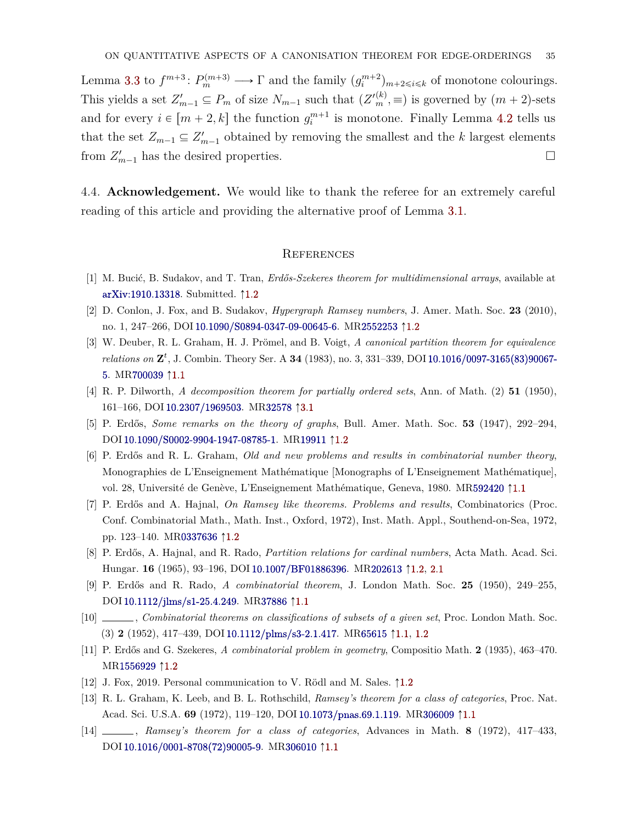Lemma [3.3](#page-12-0) to  $f^{m+3}$ :  $P_m^{(m+3)} \longrightarrow \Gamma$  and the family  $(g_i^{m+2})_{m+2 \leq i \leq k}$  of monotone colourings. This yields a set  $Z'_{m-1} \subseteq P_m$  of size  $N_{m-1}$  such that  $(Z'^{(k)}_{m}, \equiv)$  is governed by  $(m+2)$ -sets and for every  $i \in [m + 2, k]$  the function  $g_i^{m+1}$  is monotone. Finally Lemma [4.2](#page-27-0) tells us that the set  $Z_{m-1} \subseteq Z'_{m-1}$  obtained by removing the smallest and the *k* largest elements from  $Z'_{m-1}$  has the desired properties.

4.4. **Acknowledgement.** We would like to thank the referee for an extremely careful reading of this article and providing the alternative proof of Lemma [3.1.](#page-10-1)

#### **REFERENCES**

- <span id="page-34-11"></span>[1] M. Bucić, B. Sudakov, and T. Tran, *Erdős-Szekeres theorem for multidimensional arrays*, available at [arXiv:1910.13318.](http://arxiv.org/abs/1910.13318) Submitted.  $\uparrow$ [1.2](#page-2-0)
- <span id="page-34-6"></span>[2] D. Conlon, J. Fox, and B. Sudakov, *Hypergraph Ramsey numbers*, J. Amer. Math. Soc. **23** (2010), no. 1, 247–266, DOI [10.1090/S0894-0347-09-00645-6.](https://doi.org/10.1090/S0894-0347-09-00645-6) M[R2552253](http://www.ams.org/mathscinet-getitem?mr=2552253) ↑[1.2](#page-2-0)
- <span id="page-34-3"></span>[3] W. Deuber, R. L. Graham, H. J. Prömel, and B. Voigt, *A canonical partition theorem for equivalence relations on* **Z** *t* , J. Combin. Theory Ser. A **34** (1983), no. 3, 331–339, DOI [10.1016/0097-3165\(83\)90067-](https://doi.org/10.1016/0097-3165(83)90067-5) [5.](https://doi.org/10.1016/0097-3165(83)90067-5) M[R700039](http://www.ams.org/mathscinet-getitem?mr=700039) 1[1.1](#page-0-0)
- <span id="page-34-13"></span>[4] R. P. Dilworth, *A decomposition theorem for partially ordered sets*, Ann. of Math. (2) **51** (1950), 161-166, DOI [10.2307/1969503.](https://doi.org/10.2307/1969503) M[R32578](http://www.ams.org/mathscinet-getitem?mr=32578)  $\uparrow$ [3.1](#page-10-1)
- <span id="page-34-9"></span>[5] P. Erdős, *Some remarks on the theory of graphs*, Bull. Amer. Math. Soc. **53** (1947), 292–294, DOI [10.1090/S0002-9904-1947-08785-1.](https://doi.org/10.1090/S0002-9904-1947-08785-1) M[R19911](http://www.ams.org/mathscinet-getitem?mr=19911) 1[1.2](#page-2-0)
- <span id="page-34-2"></span>[6] P. Erdős and R. L. Graham, *Old and new problems and results in combinatorial number theory*, Monographies de L'Enseignement Mathématique [Monographs of L'Enseignement Mathématique], vol. 28, Université de Genève, L'Enseignement Mathématique, Geneva, 1980. M[R592420](http://www.ams.org/mathscinet-getitem?mr=592420) †[1.1](#page-0-0)
- <span id="page-34-7"></span>[7] P. Erdős and A. Hajnal, *On Ramsey like theorems. Problems and results*, Combinatorics (Proc. Conf. Combinatorial Math., Math. Inst., Oxford, 1972), Inst. Math. Appl., Southend-on-Sea, 1972, pp. 123–140. M[R0337636](http://www.ams.org/mathscinet-getitem?mr=0337636) [1.2](#page-2-0)
- <span id="page-34-8"></span>[8] P. Erdős, A. Hajnal, and R. Rado, *Partition relations for cardinal numbers*, Acta Math. Acad. Sci. Hungar. **16** (1965), 93–196, DOI [10.1007/BF01886396.](https://doi.org/10.1007/BF01886396) M[R202613](http://www.ams.org/mathscinet-getitem?mr=202613) Ò[1.2,](#page-2-0) [2.1](#page-3-3)
- <span id="page-34-0"></span>[9] P. Erdős and R. Rado, *A combinatorial theorem*, J. London Math. Soc. **25** (1950), 249–255, DOI [10.1112/jlms/s1-25.4.249.](https://doi.org/10.1112/jlms/s1-25.4.249) M[R37886](http://www.ams.org/mathscinet-getitem?mr=37886) 1[1.1](#page-0-0)
- <span id="page-34-1"></span>[10] , *Combinatorial theorems on classifications of subsets of a given set*, Proc. London Math. Soc. (3) **2** (1952), 417–439, DOI [10.1112/plms/s3-2.1.417.](https://doi.org/10.1112/plms/s3-2.1.417) M[R65615](http://www.ams.org/mathscinet-getitem?mr=65615) Ò[1.1,](#page-0-0) [1.2](#page-2-0)
- <span id="page-34-10"></span>[11] P. Erdős and G. Szekeres, *A combinatorial problem in geometry*, Compositio Math. **2** (1935), 463–470. M[R1556929](http://www.ams.org/mathscinet-getitem?mr=1556929) [1.2](#page-2-0)
- <span id="page-34-12"></span><span id="page-34-4"></span>[12] J. Fox, 2019. Personal communication to V. Rödl and M. Sales.  $\uparrow$ [1.2](#page-3-1)
- [13] R. L. Graham, K. Leeb, and B. L. Rothschild, *Ramsey's theorem for a class of categories*, Proc. Nat. Acad. Sci. U.S.A. **69** (1972), 119–120, DOI [10.1073/pnas.69.1.119.](https://doi.org/10.1073/pnas.69.1.119) M[R306009](http://www.ams.org/mathscinet-getitem?mr=306009)  $\uparrow$ [1.1](#page-0-0)
- <span id="page-34-5"></span>[14] , *Ramsey's theorem for a class of categories*, Advances in Math. **8** (1972), 417–433, DOI [10.1016/0001-8708\(72\)90005-9.](https://doi.org/10.1016/0001-8708(72)90005-9) M[R306010](http://www.ams.org/mathscinet-getitem?mr=306010) 1[1.1](#page-0-0)